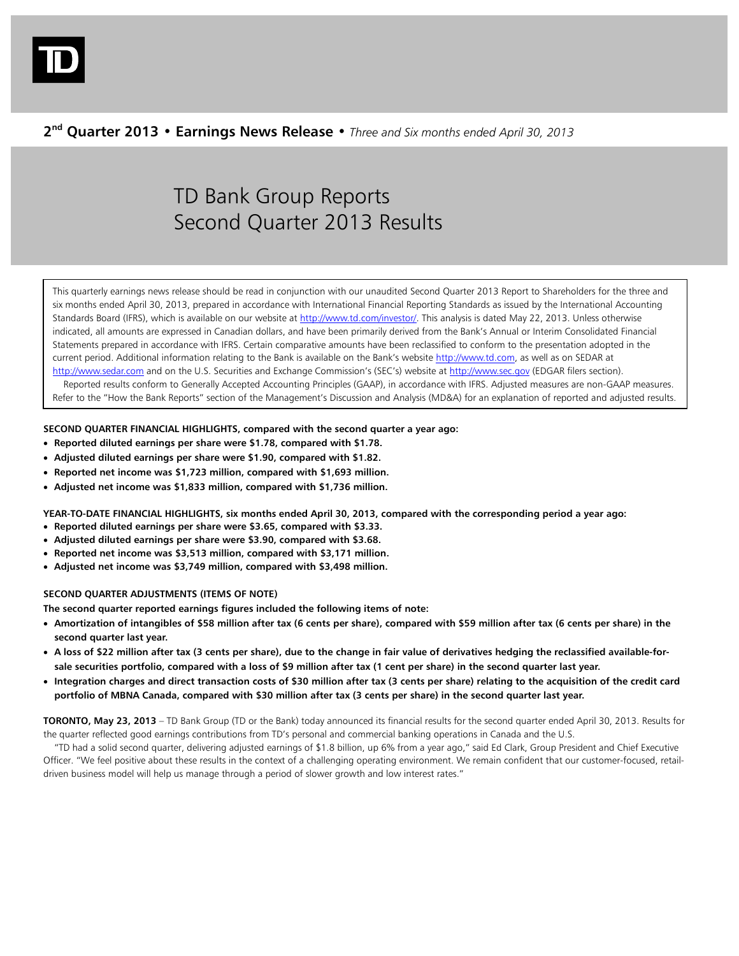# **2nd Quarter 2013 • Earnings News Release •** *Three and Six months ended April 30, 2013*

# TD Bank Group Reports Second Quarter 2013 Results

This quarterly earnings news release should be read in conjunction with our unaudited Second Quarter 2013 Report to Shareholders for the three and six months ended April 30, 2013, prepared in accordance with International Financial Reporting Standards as issued by the International Accounting Standards Board (IFRS), which is available on our website at <http://www.td.com/investor/>. This analysis is dated May 22, 2013. Unless otherwise indicated, all amounts are expressed in Canadian dollars, and have been primarily derived from the Bank's Annual or Interim Consolidated Financial Statements prepared in accordance with IFRS. Certain comparative amounts have been reclassified to conform to the presentation adopted in the current period. Additional information relating to the Bank is available on the Bank's website [http://www.td.com,](http://www.td.com/) as well as on SEDAR at [http://www.sedar.com](http://www.sedar.com/) and on the U.S. Securities and Exchange Commission's (SEC's) website at [http://www.sec.gov](http://www.sec.gov/) (EDGAR filers section).

 Reported results conform to Generally Accepted Accounting Principles (GAAP), in accordance with IFRS. Adjusted measures are non-GAAP measures. Refer to the "How the Bank Reports" section of the Management's Discussion and Analysis (MD&A) for an explanation of reported and adjusted results.

## **SECOND QUARTER FINANCIAL HIGHLIGHTS, compared with the second quarter a year ago:**

- **Reported diluted earnings per share were \$1.78, compared with \$1.78.**
- **Adjusted diluted earnings per share were \$1.90, compared with \$1.82.**
- **Reported net income was \$1,723 million, compared with \$1,693 million.**
- **Adjusted net income was \$1,833 million, compared with \$1,736 million.**

**YEAR-TO-DATE FINANCIAL HIGHLIGHTS, six months ended April 30, 2013, compared with the corresponding period a year ago:** 

- **Reported diluted earnings per share were \$3.65, compared with \$3.33.**
- **Adjusted diluted earnings per share were \$3.90, compared with \$3.68.**
- **Reported net income was \$3,513 million, compared with \$3,171 million.**
- **Adjusted net income was \$3,749 million, compared with \$3,498 million.**

## **SECOND QUARTER ADJUSTMENTS (ITEMS OF NOTE)**

**The second quarter reported earnings figures included the following items of note:** 

- **Amortization of intangibles of \$58 million after tax (6 cents per share), compared with \$59 million after tax (6 cents per share) in the second quarter last year.**
- **A loss of \$22 million after tax (3 cents per share), due to the change in fair value of derivatives hedging the reclassified available-forsale securities portfolio, compared with a loss of \$9 million after tax (1 cent per share) in the second quarter last year.**
- **Integration charges and direct transaction costs of \$30 million after tax (3 cents per share) relating to the acquisition of the credit card portfolio of MBNA Canada, compared with \$30 million after tax (3 cents per share) in the second quarter last year.**

**TORONTO, May 23, 2013** – TD Bank Group (TD or the Bank) today announced its financial results for the second quarter ended April 30, 2013. Results for the quarter reflected good earnings contributions from TD's personal and commercial banking operations in Canada and the U.S.

 "TD had a solid second quarter, delivering adjusted earnings of \$1.8 billion, up 6% from a year ago," said Ed Clark, Group President and Chief Executive Officer. "We feel positive about these results in the context of a challenging operating environment. We remain confident that our customer-focused, retaildriven business model will help us manage through a period of slower growth and low interest rates."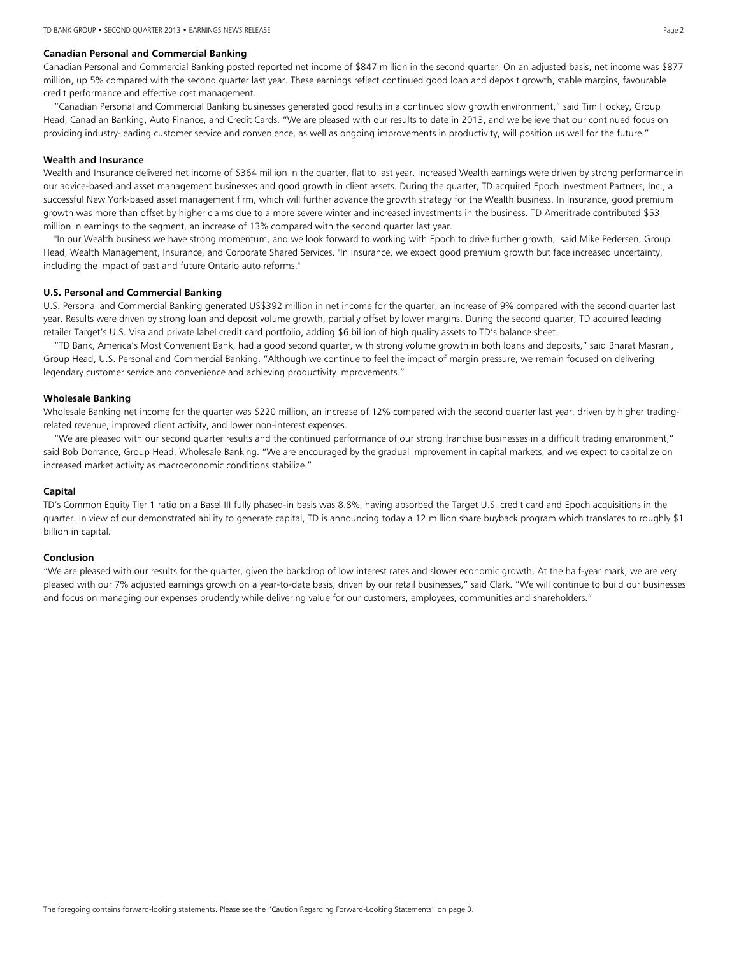## **Canadian Personal and Commercial Banking**

Canadian Personal and Commercial Banking posted reported net income of \$847 million in the second quarter. On an adjusted basis, net income was \$877 million, up 5% compared with the second quarter last year. These earnings reflect continued good loan and deposit growth, stable margins, favourable credit performance and effective cost management.

 "Canadian Personal and Commercial Banking businesses generated good results in a continued slow growth environment," said Tim Hockey, Group Head, Canadian Banking, Auto Finance, and Credit Cards. "We are pleased with our results to date in 2013, and we believe that our continued focus on providing industry-leading customer service and convenience, as well as ongoing improvements in productivity, will position us well for the future."

## **Wealth and Insurance**

Wealth and Insurance delivered net income of \$364 million in the quarter, flat to last year. Increased Wealth earnings were driven by strong performance in our advice-based and asset management businesses and good growth in client assets. During the quarter, TD acquired Epoch Investment Partners, Inc., a successful New York-based asset management firm, which will further advance the growth strategy for the Wealth business. In Insurance, good premium growth was more than offset by higher claims due to a more severe winter and increased investments in the business. TD Ameritrade contributed \$53 million in earnings to the segment, an increase of 13% compared with the second quarter last year.

 "In our Wealth business we have strong momentum, and we look forward to working with Epoch to drive further growth," said Mike Pedersen, Group Head, Wealth Management, Insurance, and Corporate Shared Services. "In Insurance, we expect good premium growth but face increased uncertainty, including the impact of past and future Ontario auto reforms."

#### **U.S. Personal and Commercial Banking**

U.S. Personal and Commercial Banking generated US\$392 million in net income for the quarter, an increase of 9% compared with the second quarter last year. Results were driven by strong loan and deposit volume growth, partially offset by lower margins. During the second quarter, TD acquired leading retailer Target's U.S. Visa and private label credit card portfolio, adding \$6 billion of high quality assets to TD's balance sheet.

 "TD Bank, America's Most Convenient Bank, had a good second quarter, with strong volume growth in both loans and deposits," said Bharat Masrani, Group Head, U.S. Personal and Commercial Banking. "Although we continue to feel the impact of margin pressure, we remain focused on delivering legendary customer service and convenience and achieving productivity improvements."

## **Wholesale Banking**

Wholesale Banking net income for the quarter was \$220 million, an increase of 12% compared with the second quarter last year, driven by higher tradingrelated revenue, improved client activity, and lower non-interest expenses.

 "We are pleased with our second quarter results and the continued performance of our strong franchise businesses in a difficult trading environment," said Bob Dorrance, Group Head, Wholesale Banking. "We are encouraged by the gradual improvement in capital markets, and we expect to capitalize on increased market activity as macroeconomic conditions stabilize."

## **Capital**

TD's Common Equity Tier 1 ratio on a Basel III fully phased-in basis was 8.8%, having absorbed the Target U.S. credit card and Epoch acquisitions in the quarter. In view of our demonstrated ability to generate capital, TD is announcing today a 12 million share buyback program which translates to roughly \$1 billion in capital.

#### **Conclusion**

"We are pleased with our results for the quarter, given the backdrop of low interest rates and slower economic growth. At the half-year mark, we are very pleased with our 7% adjusted earnings growth on a year-to-date basis, driven by our retail businesses," said Clark. "We will continue to build our businesses and focus on managing our expenses prudently while delivering value for our customers, employees, communities and shareholders."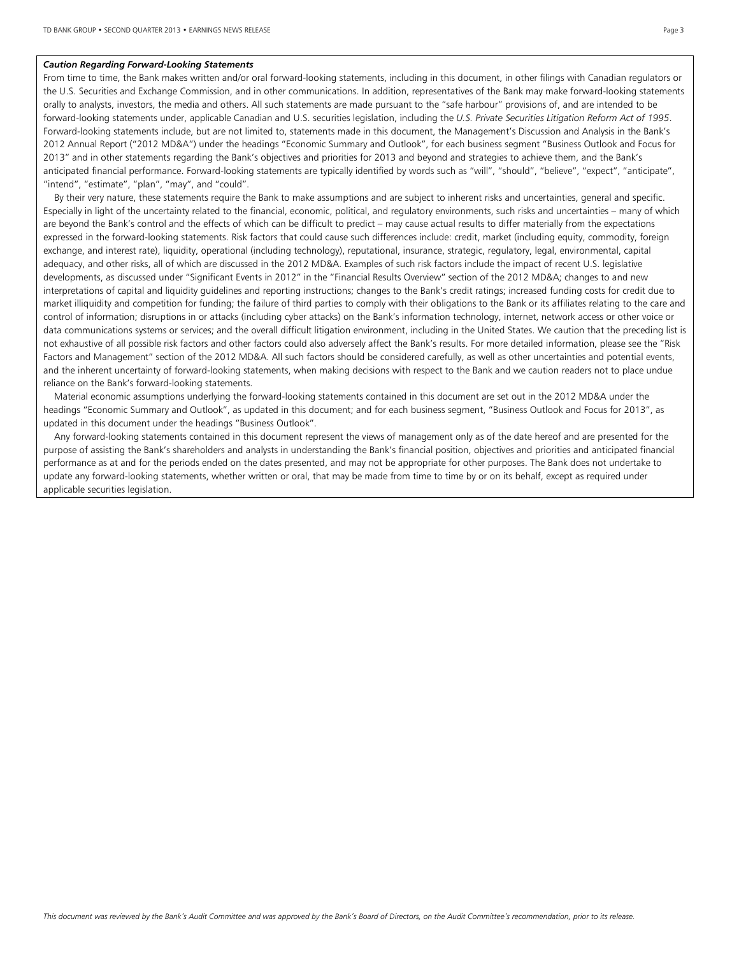#### *Caution Regarding Forward-Looking Statements*

From time to time, the Bank makes written and/or oral forward-looking statements, including in this document, in other filings with Canadian regulators or the U.S. Securities and Exchange Commission, and in other communications. In addition, representatives of the Bank may make forward-looking statements orally to analysts, investors, the media and others. All such statements are made pursuant to the "safe harbour" provisions of, and are intended to be forward-looking statements under, applicable Canadian and U.S. securities legislation, including the *U.S. Private Securities Litigation Reform Act of 1995*. Forward-looking statements include, but are not limited to, statements made in this document, the Management's Discussion and Analysis in the Bank's 2012 Annual Report ("2012 MD&A") under the headings "Economic Summary and Outlook", for each business segment "Business Outlook and Focus for 2013" and in other statements regarding the Bank's objectives and priorities for 2013 and beyond and strategies to achieve them, and the Bank's anticipated financial performance. Forward-looking statements are typically identified by words such as "will", "should", "believe", "expect", "anticipate", "intend", "estimate", "plan", "may", and "could".

 By their very nature, these statements require the Bank to make assumptions and are subject to inherent risks and uncertainties, general and specific. Especially in light of the uncertainty related to the financial, economic, political, and regulatory environments, such risks and uncertainties – many of which are beyond the Bank's control and the effects of which can be difficult to predict – may cause actual results to differ materially from the expectations expressed in the forward-looking statements. Risk factors that could cause such differences include: credit, market (including equity, commodity, foreign exchange, and interest rate), liquidity, operational (including technology), reputational, insurance, strategic, regulatory, legal, environmental, capital adequacy, and other risks, all of which are discussed in the 2012 MD&A. Examples of such risk factors include the impact of recent U.S. legislative developments, as discussed under "Significant Events in 2012" in the "Financial Results Overview" section of the 2012 MD&A; changes to and new interpretations of capital and liquidity guidelines and reporting instructions; changes to the Bank's credit ratings; increased funding costs for credit due to market illiquidity and competition for funding; the failure of third parties to comply with their obligations to the Bank or its affiliates relating to the care and control of information; disruptions in or attacks (including cyber attacks) on the Bank's information technology, internet, network access or other voice or data communications systems or services; and the overall difficult litigation environment, including in the United States. We caution that the preceding list is not exhaustive of all possible risk factors and other factors could also adversely affect the Bank's results. For more detailed information, please see the "Risk Factors and Management" section of the 2012 MD&A. All such factors should be considered carefully, as well as other uncertainties and potential events, and the inherent uncertainty of forward-looking statements, when making decisions with respect to the Bank and we caution readers not to place undue reliance on the Bank's forward-looking statements.

 Material economic assumptions underlying the forward-looking statements contained in this document are set out in the 2012 MD&A under the headings "Economic Summary and Outlook", as updated in this document; and for each business segment, "Business Outlook and Focus for 2013", as updated in this document under the headings "Business Outlook".

 Any forward-looking statements contained in this document represent the views of management only as of the date hereof and are presented for the purpose of assisting the Bank's shareholders and analysts in understanding the Bank's financial position, objectives and priorities and anticipated financial performance as at and for the periods ended on the dates presented, and may not be appropriate for other purposes. The Bank does not undertake to update any forward-looking statements, whether written or oral, that may be made from time to time by or on its behalf, except as required under applicable securities legislation.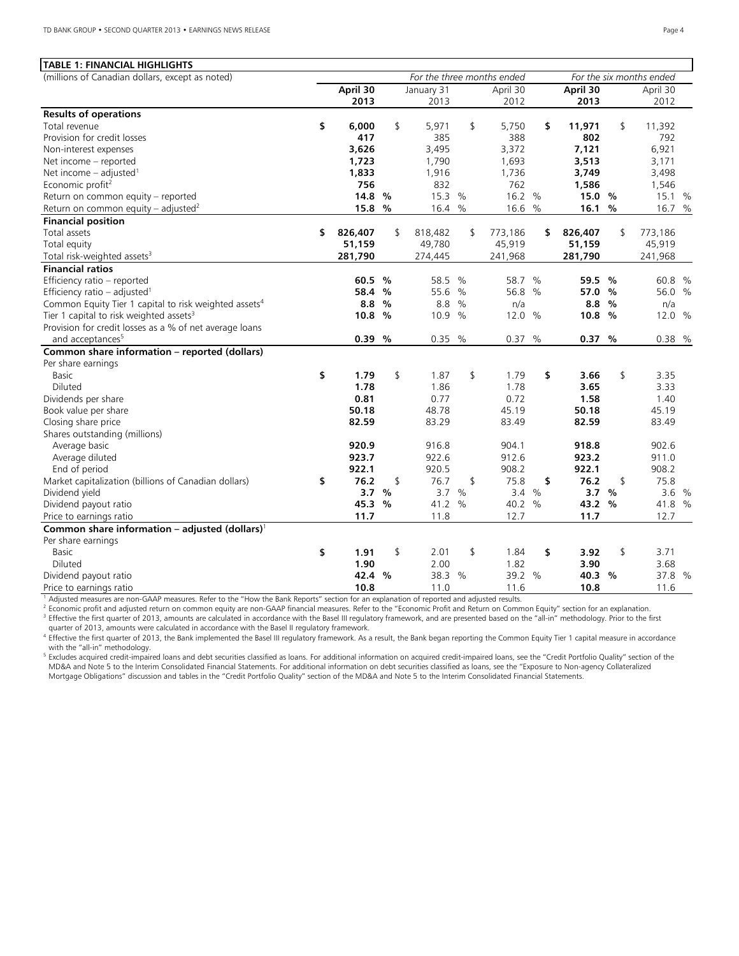| <b>TABLE 1: FINANCIAL HIGHLIGHTS</b>                              |               |               |            |               |                            |               |          |      |                          |  |
|-------------------------------------------------------------------|---------------|---------------|------------|---------------|----------------------------|---------------|----------|------|--------------------------|--|
| (millions of Canadian dollars, except as noted)                   |               |               |            |               | For the three months ended |               |          |      | For the six months ended |  |
|                                                                   | April 30      |               | January 31 |               | April 30                   |               | April 30 |      | April 30                 |  |
|                                                                   | 2013          |               | 2013       |               | 2012                       |               | 2013     |      | 2012                     |  |
| <b>Results of operations</b>                                      |               |               |            |               |                            |               |          |      |                          |  |
| Total revenue                                                     | \$<br>6,000   | \$            | 5,971      | \$            | 5,750                      | \$            | 11,971   | \$   | 11,392                   |  |
| Provision for credit losses                                       | 417           |               | 385        |               | 388                        |               | 802      |      | 792                      |  |
| Non-interest expenses                                             | 3,626         |               | 3,495      |               | 3,372                      |               | 7,121    |      | 6,921                    |  |
| Net income - reported                                             | 1,723         |               | 1,790      |               | 1,693                      |               | 3,513    |      | 3,171                    |  |
| Net income $-$ adjusted <sup>1</sup>                              | 1,833         |               | 1,916      |               | 1,736                      |               | 3,749    |      | 3,498                    |  |
| Economic profit <sup>2</sup>                                      | 756           |               | 832        |               | 762                        |               | 1,586    |      | 1,546                    |  |
| Return on common equity - reported                                | 14.8          | $\%$          | 15.3       | $\%$          | 16.2                       | $\frac{0}{0}$ | 15.0     | $\%$ | 15.1 %                   |  |
| Return on common equity – adjusted <sup>2</sup>                   | 15.8          | %             | 16.4 %     |               | 16.6                       | %             | 16.1     | %    | 16.7 %                   |  |
| <b>Financial position</b>                                         |               |               |            |               |                            |               |          |      |                          |  |
| Total assets                                                      | \$<br>826,407 | \$            | 818,482    | \$            | 773,186                    | \$            | 826,407  | \$   | 773,186                  |  |
| Total equity                                                      | 51,159        |               | 49,780     |               | 45,919                     |               | 51,159   |      | 45,919                   |  |
| Total risk-weighted assets <sup>3</sup>                           | 281,790       |               | 274,445    |               | 241,968                    |               | 281,790  |      | 241,968                  |  |
| <b>Financial ratios</b>                                           |               |               |            |               |                            |               |          |      |                          |  |
| Efficiency ratio - reported                                       | 60.5          | $\%$          | 58.5       | $\%$          | 58.7                       | $\%$          | 59.5     | $\%$ | 60.8 %                   |  |
| Efficiency ratio - adjusted <sup>1</sup>                          | 58.4          | $\frac{0}{0}$ | 55.6       | $\%$          | 56.8                       | $\%$          | 57.0     | $\%$ | 56.0 %                   |  |
| Common Equity Tier 1 capital to risk weighted assets <sup>4</sup> | 8.8           | $\%$          | 8.8 %      |               | n/a                        |               | 8.8      | $\%$ | n/a                      |  |
| Tier 1 capital to risk weighted assets <sup>3</sup>               | 10.8          | $\%$          | 10.9 %     |               | 12.0                       | $\%$          | 10.8 %   |      | 12.0 %                   |  |
| Provision for credit losses as a % of net average loans           |               |               |            |               |                            |               |          |      |                          |  |
| and acceptances <sup>5</sup>                                      | 0.39 %        |               | 0.35 %     |               | 0.37 %                     |               | 0.37 %   |      | 0.38 %                   |  |
| Common share information - reported (dollars)                     |               |               |            |               |                            |               |          |      |                          |  |
| Per share earnings                                                |               |               |            |               |                            |               |          |      |                          |  |
| Basic                                                             | \$<br>1.79    | \$            | 1.87       | \$            | 1.79                       | \$            | 3.66     | \$   | 3.35                     |  |
| Diluted                                                           | 1.78          |               | 1.86       |               | 1.78                       |               | 3.65     |      | 3.33                     |  |
| Dividends per share                                               | 0.81          |               | 0.77       |               | 0.72                       |               | 1.58     |      | 1.40                     |  |
| Book value per share                                              | 50.18         |               | 48.78      |               | 45.19                      |               | 50.18    |      | 45.19                    |  |
| Closing share price                                               | 82.59         |               | 83.29      |               | 83.49                      |               | 82.59    |      | 83.49                    |  |
| Shares outstanding (millions)                                     |               |               |            |               |                            |               |          |      |                          |  |
| Average basic                                                     | 920.9         |               | 916.8      |               | 904.1                      |               | 918.8    |      | 902.6                    |  |
| Average diluted                                                   | 923.7         |               | 922.6      |               | 912.6                      |               | 923.2    |      | 911.0                    |  |
| End of period                                                     | 922.1         |               | 920.5      |               | 908.2                      |               | 922.1    |      | 908.2                    |  |
| Market capitalization (billions of Canadian dollars)              | \$<br>76.2    | \$            | 76.7       | \$            | 75.8                       | \$            | 76.2     | \$   | 75.8                     |  |
| Dividend yield                                                    | 3.7           | $\frac{0}{0}$ | 3.7        | $\frac{0}{0}$ | 3.4%                       |               | 3.7      | $\%$ | 3.6 %                    |  |
| Dividend payout ratio                                             | 45.3          | $\%$          | 41.2 %     |               | 40.2 %                     |               | 43.2 %   |      | 41.8 %                   |  |
| Price to earnings ratio                                           | 11.7          |               | 11.8       |               | 12.7                       |               | 11.7     |      | 12.7                     |  |
| Common share information - adjusted (dollars) <sup>1</sup>        |               |               |            |               |                            |               |          |      |                          |  |
| Per share earnings                                                |               |               |            |               |                            |               |          |      |                          |  |
| <b>Basic</b>                                                      | \$<br>1.91    | \$            | 2.01       | \$            | 1.84                       | \$            | 3.92     | \$   | 3.71                     |  |
| Diluted                                                           | 1.90          |               | 2.00       |               | 1.82                       |               | 3.90     |      | 3.68                     |  |
| Dividend payout ratio                                             | 42.4          | $\%$          | 38.3 %     |               | 39.2                       | $\%$          | 40.3 %   |      | 37.8 %                   |  |
| Price to earnings ratio                                           | 10.8          |               | 11.0       |               | 11.6                       |               | 10.8     |      | 11.6                     |  |

<sup>1</sup> Adjusted measures are non-GAAP measures. Refer to the "How the Bank Reports" section for an explanation of reported and adjusted results.<br><sup>2</sup> Economic profit and adjusted return on common equity are non-GAAP financial

<sup>3</sup> Effective the first quarter of 2013, amounts are calculated in accordance with the Basel III regulatory framework, and are presented based on the "all-in" methodology. Prior to the first quarter of 2013, amounts were c

<sup>4</sup> Effective the first quarter of 2013, the Bank implemented the Basel III regulatory framework. As a result, the Bank began reporting the Common Equity Tier 1 capital measure in accordance with the "all-in" methodology.

<sup>5</sup> Excludes acquired credit-impaired loans and debt securities classified as loans. For additional information on acquired credit-impaired loans, see the "Credit Portfolio Quality" section of the MD&A and Note 5 to the Interim Consolidated Financial Statements. For additional information on debt securities classified as loans, see the "Exposure to Non-agency Collateralized Mortgage Obligations" discussion and tables in the "Credit Portfolio Quality" section of the MD&A and Note 5 to the Interim Consolidated Financial Statements.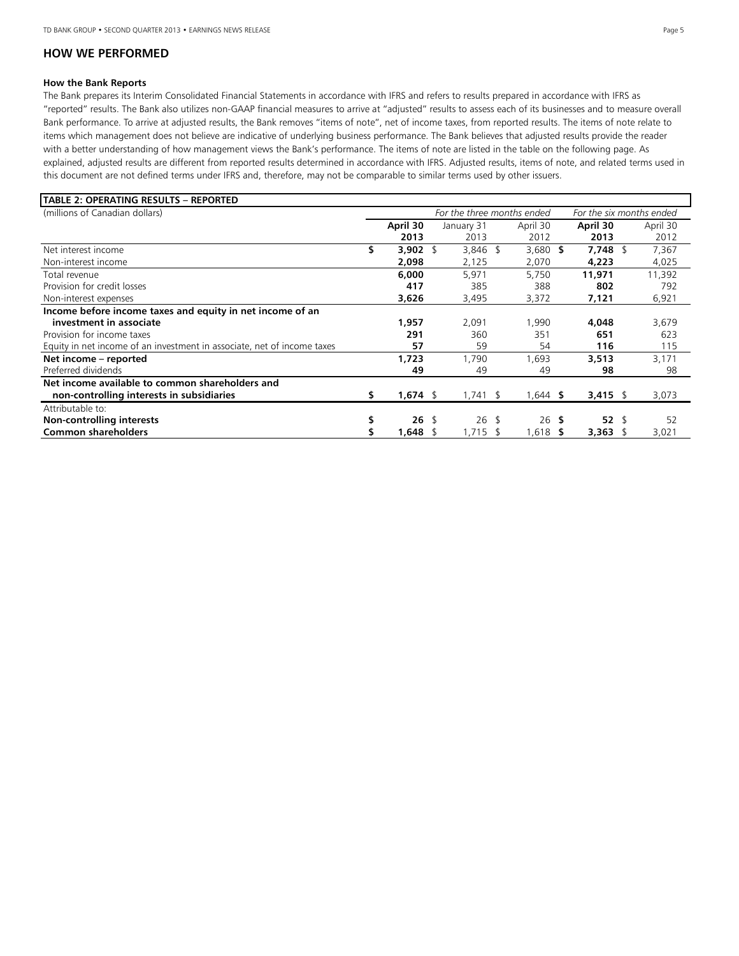## **HOW WE PERFORMED**

#### **How the Bank Reports**

The Bank prepares its Interim Consolidated Financial Statements in accordance with IFRS and refers to results prepared in accordance with IFRS as "reported" results. The Bank also utilizes non-GAAP financial measures to arrive at "adjusted" results to assess each of its businesses and to measure overall Bank performance. To arrive at adjusted results, the Bank removes "items of note", net of income taxes, from reported results. The items of note relate to items which management does not believe are indicative of underlying business performance. The Bank believes that adjusted results provide the reader with a better understanding of how management views the Bank's performance. The items of note are listed in the table on the following page. As explained, adjusted results are different from reported results determined in accordance with IFRS. Adjusted results, items of note, and related terms used in this document are not defined terms under IFRS and, therefore, may not be comparable to similar terms used by other issuers.

| <b>TABLE 2: OPERATING RESULTS - REPORTED</b>                            |          |          |                          |      |            |  |          |             |
|-------------------------------------------------------------------------|----------|----------|--------------------------|------|------------|--|----------|-------------|
| (millions of Canadian dollars)                                          |          |          | For the six months ended |      |            |  |          |             |
|                                                                         | April 30 |          | January 31               |      | April 30   |  | April 30 | April 30    |
|                                                                         |          | 2013     | 2013                     |      | 2012       |  | 2013     | 2012        |
| Net interest income                                                     |          | 3,902    | \$<br>$3,846$ \$         |      | 3,680 \$   |  | 7,748    | \$<br>7,367 |
| Non-interest income                                                     | 2,098    |          | 2,125                    |      | 2,070      |  | 4,223    | 4,025       |
| Total revenue                                                           | 6,000    |          | 5,971                    |      | 5.750      |  | 11,971   | 11,392      |
| Provision for credit losses                                             |          | 417      | 385                      |      | 388        |  | 802      | 792         |
| Non-interest expenses                                                   | 3,626    |          | 3,495                    |      | 3,372      |  | 7,121    | 6,921       |
| Income before income taxes and equity in net income of an               |          |          |                          |      |            |  |          |             |
| investment in associate                                                 | 1,957    |          | 2,091                    |      | 1,990      |  | 4.048    | 3,679       |
| Provision for income taxes                                              |          | 291      | 360                      |      | 351        |  | 651      | 623         |
| Equity in net income of an investment in associate, net of income taxes |          | 57       | 59                       |      | 54         |  | 116      | 115         |
| Net income – reported                                                   | 1,723    |          | 1,790                    |      | 1,693      |  | 3,513    | 3,171       |
| Preferred dividends                                                     |          | 49       | 49                       |      | 49         |  | 98       | 98          |
| Net income available to common shareholders and                         |          |          |                          |      |            |  |          |             |
| non-controlling interests in subsidiaries<br>S                          |          | 1,674 \$ | $1,741$ \$               |      | $1,644$ \$ |  | 3,415 \$ | 3,073       |
| Attributable to:                                                        |          |          |                          |      |            |  |          |             |
| Non-controlling interests                                               |          | 26       | \$<br>26                 | -\$  | 26S        |  | 52       | 52          |
| <b>Common shareholders</b>                                              | 1,648    |          | 1,715                    | - 25 | $,618$ \$  |  | 3,363    | 3,021       |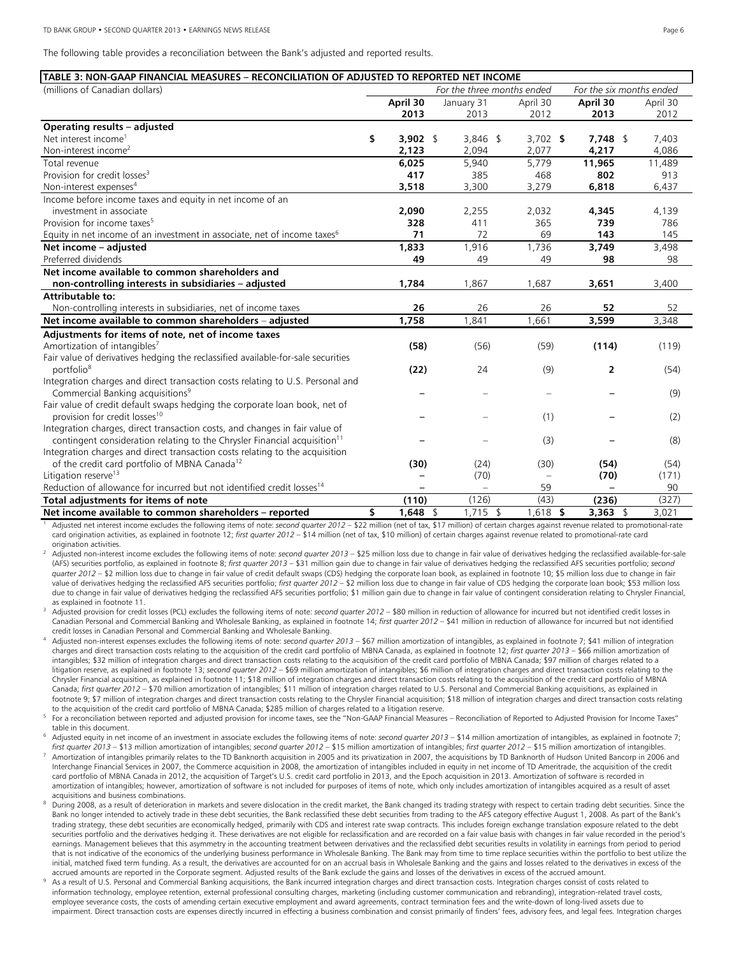The following table provides a reconciliation between the Bank's adjusted and reported results.

## **TABLE 3: NON-GAAP FINANCIAL MEASURES – RECONCILIATION OF ADJUSTED TO REPORTED NET INCOME**

| (millions of Canadian dollars)                                                                                                                                                                                                                            | For the three months ended |            | For the six months ended       |                |          |
|-----------------------------------------------------------------------------------------------------------------------------------------------------------------------------------------------------------------------------------------------------------|----------------------------|------------|--------------------------------|----------------|----------|
|                                                                                                                                                                                                                                                           | April 30                   | January 31 | April 30                       | April 30       | April 30 |
|                                                                                                                                                                                                                                                           | 2013                       | 2013       | 2012                           | 2013           | 2012     |
| Operating results - adjusted                                                                                                                                                                                                                              |                            |            |                                |                |          |
| Net interest income <sup>1</sup>                                                                                                                                                                                                                          | \$<br>3,902 \$             | $3,846$ \$ | $3,702$ \$                     | 7,748 \$       | 7,403    |
| Non-interest income <sup>2</sup>                                                                                                                                                                                                                          | 2.123                      | 2,094      | 2,077                          | 4,217          | 4,086    |
| Total revenue                                                                                                                                                                                                                                             | 6,025                      | 5,940      | 5.779                          | 11,965         | 11,489   |
| Provision for credit losses <sup>3</sup>                                                                                                                                                                                                                  | 417                        | 385        | 468                            | 802            | 913      |
| Non-interest expenses <sup>4</sup>                                                                                                                                                                                                                        | 3,518                      | 3,300      | 3,279                          | 6,818          | 6,437    |
| Income before income taxes and equity in net income of an                                                                                                                                                                                                 |                            |            |                                |                |          |
| investment in associate                                                                                                                                                                                                                                   | 2,090                      | 2,255      | 2,032                          | 4,345          | 4,139    |
| Provision for income taxes <sup>5</sup>                                                                                                                                                                                                                   | 328                        | 411        | 365                            | 739            | 786      |
| Equity in net income of an investment in associate, net of income taxes <sup>6</sup>                                                                                                                                                                      | 71                         | 72         | 69                             | 143            | 145      |
| Net income - adjusted                                                                                                                                                                                                                                     | 1,833                      | 1,916      | 1,736                          | 3,749          | 3,498    |
| Preferred dividends                                                                                                                                                                                                                                       | 49                         | 49         | 49                             | 98             | 98       |
| Net income available to common shareholders and                                                                                                                                                                                                           |                            |            |                                |                |          |
| non-controlling interests in subsidiaries - adjusted                                                                                                                                                                                                      | 1,784                      | 1,867      | 1,687                          | 3,651          | 3,400    |
| Attributable to:                                                                                                                                                                                                                                          |                            |            |                                |                |          |
| Non-controlling interests in subsidiaries, net of income taxes                                                                                                                                                                                            | 26                         | 26         | 26                             | 52             | 52       |
| Net income available to common shareholders - adjusted                                                                                                                                                                                                    | 1.758                      | 1,841      | 1.661                          | 3,599          | 3,348    |
| Adjustments for items of note, net of income taxes                                                                                                                                                                                                        |                            |            |                                |                |          |
| Amortization of intangibles <sup>7</sup>                                                                                                                                                                                                                  | (58)                       | (56)       | (59)                           | (114)          | (119)    |
| Fair value of derivatives hedging the reclassified available-for-sale securities                                                                                                                                                                          |                            |            |                                |                |          |
| portfolio <sup>8</sup>                                                                                                                                                                                                                                    | (22)                       | 24         | (9)                            | $\overline{2}$ | (54)     |
| Integration charges and direct transaction costs relating to U.S. Personal and                                                                                                                                                                            |                            |            |                                |                |          |
| Commercial Banking acquisitions <sup>9</sup>                                                                                                                                                                                                              |                            |            |                                |                | (9)      |
| Fair value of credit default swaps hedging the corporate loan book, net of                                                                                                                                                                                |                            |            |                                |                |          |
| provision for credit losses <sup>10</sup>                                                                                                                                                                                                                 |                            |            | (1)                            |                | (2)      |
| Integration charges, direct transaction costs, and changes in fair value of                                                                                                                                                                               |                            |            |                                |                |          |
| contingent consideration relating to the Chrysler Financial acquisition <sup>11</sup>                                                                                                                                                                     |                            |            | (3)                            |                | (8)      |
| Integration charges and direct transaction costs relating to the acquisition                                                                                                                                                                              |                            |            |                                |                |          |
| of the credit card portfolio of MBNA Canada <sup>12</sup>                                                                                                                                                                                                 | (30)                       | (24)       | (30)                           | (54)           | (54)     |
| Litigation reserve <sup>13</sup>                                                                                                                                                                                                                          |                            | (70)       | $\overline{\phantom{m}}$<br>59 | (70)           | (171)    |
| Reduction of allowance for incurred but not identified credit losses <sup>14</sup>                                                                                                                                                                        |                            | $\equiv$   |                                |                | 90       |
| Total adjustments for items of note                                                                                                                                                                                                                       | (110)                      | (126)      | (43)                           | (236)          | (327)    |
| Net income available to common shareholders - reported<br>Adjusted net interest income excludes the following items of note: second quarter 2012 - \$22 million (net of tax, \$17 million) of certain charges against revenue related to promotional-rate | \$<br>$1,648$ \$           | $1,715$ \$ | 1,618                          | 3,363 \$<br>\$ | 3,021    |

card origination activities, as explained in footnote 12; *first quarter 2012* – \$14 million (net of tax, \$10 million) of certain charges against revenue related to promotional-rate card origination activities.

<sup>2</sup> Adjusted non-interest income excludes the following items of note: *second quarter 2013* – \$25 million loss due to change in fair value of derivatives hedging the reclassified available-for-sale (AFS) securities portfolio, as explained in footnote 8; *first quarter 2013* – \$31 million gain due to change in fair value of derivatives hedging the reclassified AFS securities portfolio; *second quarter 2012 –* \$2 million loss due to change in fair value of credit default swaps (CDS) hedging the corporate loan book, as explained in footnote 10; \$5 million loss due to change in fair value of derivatives hedging the reclassified AFS securities portfolio; *first quarter 2012 –* \$2 million loss due to change in fair value of CDS hedging the corporate loan book; \$53 million loss due to change in fair value of derivatives hedging the reclassified AFS securities portfolio; \$1 million gain due to change in fair value of contingent consideration relating to Chrysler Financial, as explained in footnote

<sup>3</sup> Adjusted provision for credit losses (PCL) excludes the following items of note: second quarter 2012 - \$80 million in reduction of allowance for incurred but not identified credit losses in Canadian Personal and Commercial Banking and Wholesale Banking, as explained in footnote 14; *first quarter 2012* – \$41 million in reduction of allowance for incurred but not identified<br>credit losses in Canadian Personal a

4 Adjusted non-interest expenses excludes the following items of note: second quarter 2013 - \$67 million amortization of intangibles, as explained in footnote 7; \$41 million of integration charges and direct transaction costs relating to the acquisition of the credit card portfolio of MBNA Canada, as explained in footnote 12; *first quarter 2013* – \$66 million amortization of intangibles; \$32 million of integration charges and direct transaction costs relating to the acquisition of the credit card portfolio of MBNA Canada; \$97 million of charges related to a litigation reserve, as explained in footnote 13; *second quarter 2012* – \$69 million amortization of intangibles; \$6 million of integration charges and direct transaction costs relating to the Chrysler Financial acquisition, as explained in footnote 11; \$18 million of integration charges and direct transaction costs relating to the acquisition of the credit card portfolio of MBNA Canada; *first quarter 2012* – \$70 million amortization of intangibles; \$11 million of integration charges related to U.S. Personal and Commercial Banking acquisitions, as explained in footnote 9; \$7 million of integration charges and direct transaction costs relating to the Chrysler Financial acquisition; \$18 million of integration charges and direct transaction costs relating<br>to the acquisition of the

For a reconciliation between reported and adjusted provision for income taxes, see the "Non-GAAP Financial Measures – Reconciliation of Reported to Adjusted Provision for Income Taxes"<br>table in this document

Adjusted equity in net income of an investment in associate excludes the following items of note: *second quarter 2013* – \$14 million amortization of intangibles, as explained in footnote 7; first quarter 2013 - \$13 million amortization of intangibles; second quarter 2012 - \$15 million amortization of intangibles first quarter 2012 - \$15 million amortization of intangibles.<br>Amortization of intangibles primaril

- Interchange Financial Services in 2007, the Commerce acquisition in 2008, the amortization of intangibles included in equity in net income of TD Ameritrade, the acquisition of the credit card portfolio of MBNA Canada in 2012, the acquisition of Target's U.S. credit card portfolio in 2013, and the Epoch acquisition in 2013. Amortization of software is recorded in amortization of intangibles; however, amortization of software is not included for purposes of items of note, which only includes amortization of intangibles acquired as a result of asset acquisitions and business combinations.<br><sup>8</sup> During 2008, as a result of deterioration in markets and severe dislocation in the credit market, the Bank changed its trading strategy with respect to certain trading debt secur
- Bank no longer intended to actively trade in these debt securities, the Bank reclassified these debt securities from trading to the AFS category effective August 1, 2008. As part of the Bank's trading strategy, these debt securities are economically hedged, primarily with CDS and interest rate swap contracts. This includes foreign exchange translation exposure related to the debt securities portfolio and the derivatives hedging it. These derivatives are not eligible for reclassification and are recorded on a fair value basis with changes in fair value recorded in the period's earnings. Management believes that this asymmetry in the accounting treatment between derivatives and the reclassified debt securities results in volatility in earnings from period to period that is not indicative of the economics of the underlying business performance in Wholesale Banking. The Bank may from time to time replace securities within the portfolio to best utilize the initial, matched fixed term funding. As a result, the derivatives are accounted for on an accrual basis in Wholesale Banking and the gains and losses related to the derivatives in excess of the<br>accrued amounts are reported
- accoded ancessure the security of the series of the same integration charges and direct transaction costs. Integration charges consist of costs related to information technology, employee retention, external professional consulting charges, marketing (including customer communication and rebranding), integration-related travel costs, employee severance costs, the costs of amending certain executive employment and award agreements, contract termination fees and the write-down of long-lived assets due to impairment. Direct transaction costs are expenses directly incurred in effecting a business combination and consist primarily of finders' fees, advisory fees, and legal fees. Integration charges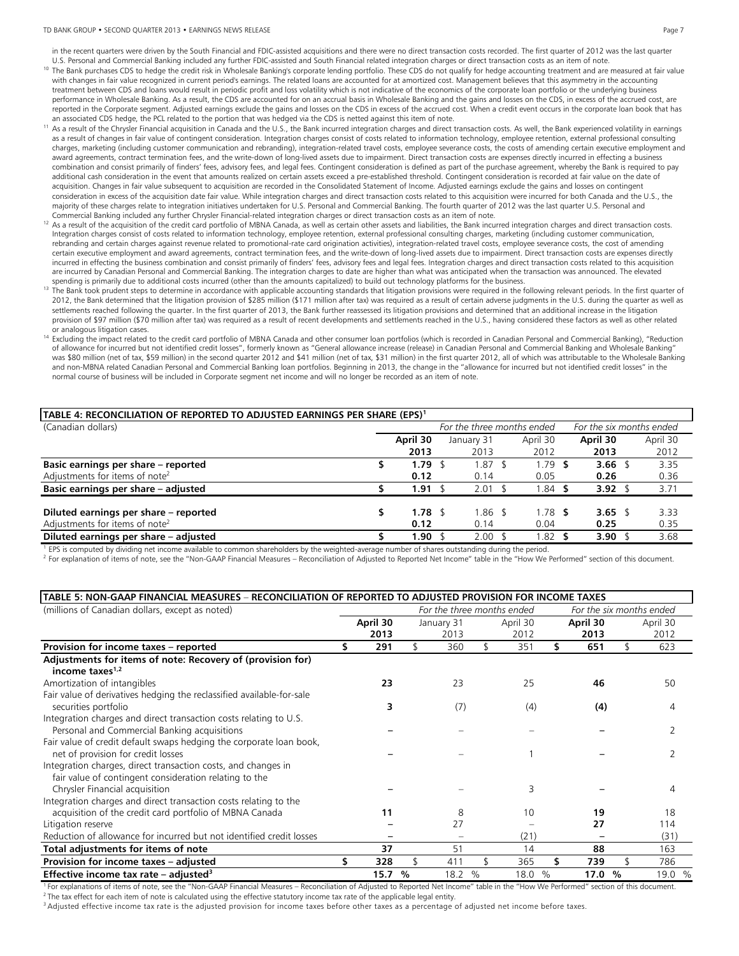# TD BANK GROUP • SECOND QUARTER 2013 • EARNINGS NEWS RELEASE Page 7

in the recent quarters were driven by the South Financial and FDIC-assisted acquisitions and there were no direct transaction costs recorded. The first quarter of 2012 was the last quarter<br>U.S. Personal and Commercial Bank

- <sup>10</sup> The Bank purchases CDS to hedge the credit risk in Wholesale Banking's corporate lending portfolio. These CDS do not qualify for hedge accounting treatment and are measured at fair value with changes in fair value recognized in current period's earnings. The related loans are accounted for at amortized cost. Management believes that this asymmetry in the accounting treatment between CDS and loans would result in periodic profit and loss volatility which is not indicative of the economics of the corporate loan portfolio or the underlying business performance in Wholesale Banking. As a result, the CDS are accounted for on an accrual basis in Wholesale Banking and the gains and losses on the CDS, in excess of the accrued cost, are reported in the Corporate segment. Adjusted earnings exclude the gains and losses on the CDS in excess of the accrued cost. When a credit event occurs in the corporate loan book that has an associated CDS hedge, the PCL re
- <sup>11</sup> As a result of the Chrysler Financial acquisition in Canada and the U.S., the Bank incurred integration charges and direct transaction costs. As well, the Bank experienced volatility in earnings as a result of changes in fair value of contingent consideration. Integration charges consist of costs related to information technology, employee retention, external professional consulting charges, marketing (including customer communication and rebranding), integration-related travel costs, employee severance costs, the costs of amending certain executive employment and award agreements, contract termination fees, and the write-down of long-lived assets due to impairment. Direct transaction costs are expenses directly incurred in effecting a business combination and consist primarily of finders' fees, advisory fees, and legal fees. Contingent consideration is defined as part of the purchase agreement, whereby the Bank is required to pay additional cash consideration in the event that amounts realized on certain assets exceed a pre-established threshold. Contingent consideration is recorded at fair value on the date of acquisition. Changes in fair value subsequent to acquisition are recorded in the Consolidated Statement of Income. Adjusted earnings exclude the gains and losses on contingent consideration in excess of the acquisition date fair value. While integration charges and direct transaction costs related to this acquisition were incurred for both Canada and the U.S., the majority of these charges relate to integration initiatives undertaken for U.S. Personal and Commercial Banking. The fourth quarter of 2012 was the last quarter U.S. Personal and
- Commercial Banking included any further Chrysler Financial-related integration charges or direct transaction costs as an item of note.<br><sup>12</sup> As a result of the acquisition of the credit card portfolio of MBNA Canada, as we Integration charges consist of costs related to information technology, employee retention, external professional consulting charges, marketing (including customer communication, rebranding and certain charges against revenue related to promotional-rate card origination activities), integration-related travel costs, employee severance costs, the cost of amending certain executive employment and award agreements, contract termination fees, and the write-down of long-lived assets due to impairment. Direct transaction costs are expenses directly incurred in effecting the business combination and consist primarily of finders' fees, advisory fees and legal fees. Integration charges and direct transaction costs related to this acquisition<br>are incurred by Canadian Per
- spending is primarily due to additional costs incurred (other than the amounts capitalized) to build out technology platforms for the business.<br><sup>13</sup> The Bank took prudent steps to determine in accordance with applicable ac 2012, the Bank determined that the litigation provision of \$285 million (\$171 million after tax) was required as a result of certain adverse judgments in the U.S. during the quarter as well as settlements reached following the quarter. In the first quarter of 2013, the Bank further reassessed its litigation provisions and determined that an additional increase in the litigation provision of \$97 million (\$70 million after tax) was required as a result of recent developments and settlements reached in the U.S., having considered these factors as well as other related<br>or analogous litigation cases.
- <sup>14</sup> Excluding the impact related to the credit card portfolio of MBNA Canada and other consumer loan portfolios (which is recorded in Canadian Personal and Commercial Banking), "Reduction of allowance for incurred but not identified credit losses", formerly known as "General allowance increase (release) in Canadian Personal and Commercial Banking and Wholesale Banking" was \$80 million (net of tax, \$59 million) in the second quarter 2012 and \$41 million (net of tax, \$31 million) in the first quarter 2012, all of which was attributable to the Wholesale Banking and non-MBNA related Canadian Personal and Commercial Banking loan portfolios. Beginning in 2013, the change in the "allowance for incurred but not identified credit losses" in the normal course of business will be included in Corporate segment net income and will no longer be recorded as an item of note.

## **TABLE 4: RECONCILIATION OF REPORTED TO ADJUSTED EARNINGS PER SHARE (EPS)1**

| (Canadian dollars)                         |                    | For the three months ended |            |  |                    |  | For the six months ended |  |          |  |  |
|--------------------------------------------|--------------------|----------------------------|------------|--|--------------------|--|--------------------------|--|----------|--|--|
|                                            | April 30           |                            | January 31 |  | April 30           |  | April 30                 |  | April 30 |  |  |
|                                            | 2013               |                            | 2013       |  | 2012               |  | 2013                     |  | 2012     |  |  |
| Basic earnings per share – reported        | 1.79               |                            | 1.87       |  | 1.79               |  | 3.66                     |  | 3.35     |  |  |
| Adjustments for items of note <sup>2</sup> | 0.12               |                            | 0.14       |  | 0.05               |  | 0.26                     |  | 0.36     |  |  |
| Basic earnings per share - adjusted        | 1.91               |                            | 2.01       |  | .84                |  | 3.92                     |  | 3.71     |  |  |
|                                            |                    |                            |            |  |                    |  |                          |  |          |  |  |
| Diluted earnings per share – reported      | 1.78 $\frac{1}{2}$ |                            | $1.86$ \$  |  | 1.78 $\frac{1}{2}$ |  | 3.65 \$                  |  | 3.33     |  |  |
| Adjustments for items of note <sup>2</sup> | 0.12               |                            | 0.14       |  | 0.04               |  | 0.25                     |  | 0.35     |  |  |
| Diluted earnings per share – adjusted      | 1.90               |                            | 2.00       |  | 1.82               |  | 3.90                     |  | 3.68     |  |  |

<sup>1</sup> EPS is computed by dividing net income available to common shareholders by the weighted-average number of shares outstanding during the period.<br><sup>2</sup> For explanation of items of note, see the "Non-GAAP Financial Measures

## **TABLE 5: NON-GAAP FINANCIAL MEASURES** – **RECONCILIATION OF REPORTED TO ADJUSTED PROVISION FOR INCOME TAXES**

| (millions of Canadian dollars, except as noted)                       | For the three months ended |  |            |  |          |     | For the six months ended |      |          |  |  |
|-----------------------------------------------------------------------|----------------------------|--|------------|--|----------|-----|--------------------------|------|----------|--|--|
|                                                                       | April 30                   |  | January 31 |  | April 30 |     | April 30                 |      | April 30 |  |  |
|                                                                       | 2013                       |  | 2013       |  | 2012     |     | 2013                     |      | 2012     |  |  |
| Provision for income taxes - reported                                 | 291                        |  | 360        |  | 351      |     | 651                      |      | 623      |  |  |
| Adjustments for items of note: Recovery of (provision for)            |                            |  |            |  |          |     |                          |      |          |  |  |
| income taxes $1,2$                                                    |                            |  |            |  |          |     |                          |      |          |  |  |
| Amortization of intangibles                                           | 23                         |  | 23         |  | 25       |     | 46                       |      | 50       |  |  |
| Fair value of derivatives hedging the reclassified available-for-sale |                            |  |            |  |          |     |                          |      |          |  |  |
| securities portfolio                                                  | 3                          |  | (7)        |  | (4)      |     | (4)                      |      |          |  |  |
| Integration charges and direct transaction costs relating to U.S.     |                            |  |            |  |          |     |                          |      |          |  |  |
| Personal and Commercial Banking acquisitions                          |                            |  |            |  |          |     |                          |      |          |  |  |
| Fair value of credit default swaps hedging the corporate loan book,   |                            |  |            |  |          |     |                          |      |          |  |  |
| net of provision for credit losses                                    |                            |  |            |  |          |     |                          |      |          |  |  |
| Integration charges, direct transaction costs, and changes in         |                            |  |            |  |          |     |                          |      |          |  |  |
| fair value of contingent consideration relating to the                |                            |  |            |  |          |     |                          |      |          |  |  |
| Chrysler Financial acquisition                                        |                            |  |            |  | 3        |     |                          |      |          |  |  |
| Integration charges and direct transaction costs relating to the      |                            |  |            |  |          |     |                          |      |          |  |  |
| acquisition of the credit card portfolio of MBNA Canada               | 11                         |  | 8          |  | 10       |     | 19                       |      | 18       |  |  |
| Litigation reserve                                                    |                            |  | 27         |  |          |     | 27                       |      | 114      |  |  |
| Reduction of allowance for incurred but not identified credit losses  |                            |  |            |  | (21)     |     |                          |      | (31)     |  |  |
| Total adjustments for items of note                                   | 37                         |  | 51         |  | 14       |     | 88                       |      | 163      |  |  |
| Provision for income taxes - adjusted                                 | 328                        |  | 411        |  | 365      | \$. | 739                      |      | 786      |  |  |
| Effective income tax rate – adjusted <sup>3</sup>                     | 15.7 %                     |  | 18.2 %     |  | 18.0 %   |     | 17.0                     | $\%$ | 19.0 %   |  |  |

<sup>1</sup> For explanations of items of note, see the "Non-GAAP Financial Measures – Reconciliation of Adjusted to Reported Net Income" table in the "How We Performed" section of this document.<br><sup>2</sup> The tax effect for each item of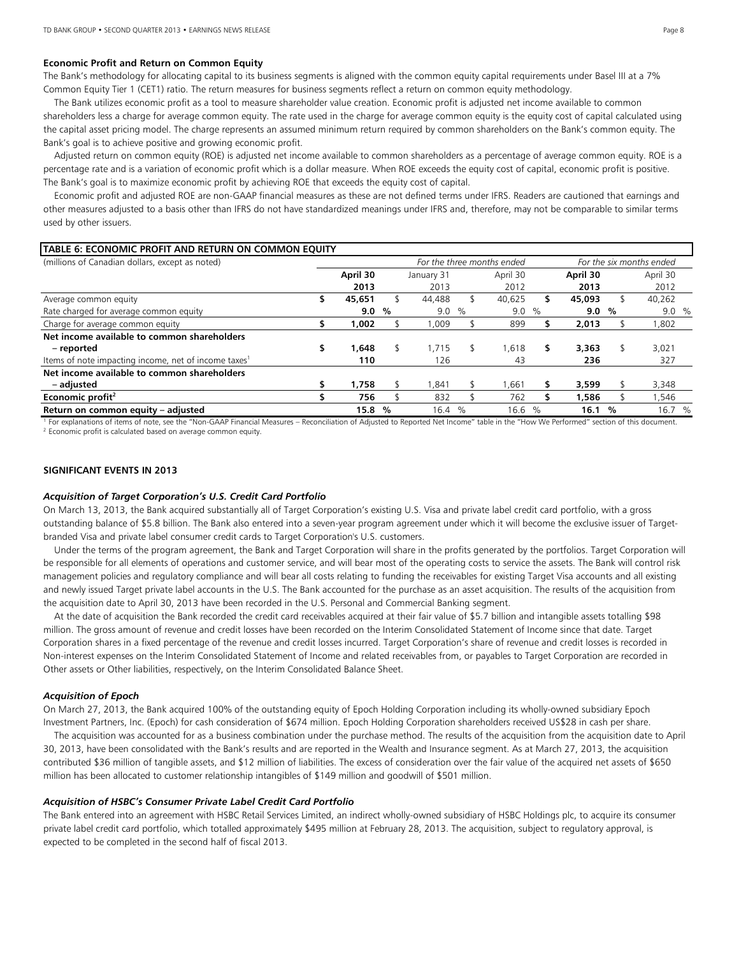#### **Economic Profit and Return on Common Equity**

The Bank's methodology for allocating capital to its business segments is aligned with the common equity capital requirements under Basel III at a 7% Common Equity Tier 1 (CET1) ratio. The return measures for business segments reflect a return on common equity methodology.

 The Bank utilizes economic profit as a tool to measure shareholder value creation. Economic profit is adjusted net income available to common shareholders less a charge for average common equity. The rate used in the charge for average common equity is the equity cost of capital calculated using the capital asset pricing model. The charge represents an assumed minimum return required by common shareholders on the Bank's common equity. The Bank's goal is to achieve positive and growing economic profit.

 Adjusted return on common equity (ROE) is adjusted net income available to common shareholders as a percentage of average common equity. ROE is a percentage rate and is a variation of economic profit which is a dollar measure. When ROE exceeds the equity cost of capital, economic profit is positive. The Bank's goal is to maximize economic profit by achieving ROE that exceeds the equity cost of capital.

 Economic profit and adjusted ROE are non-GAAP financial measures as these are not defined terms under IFRS. Readers are cautioned that earnings and other measures adjusted to a basis other than IFRS do not have standardized meanings under IFRS and, therefore, may not be comparable to similar terms used by other issuers.

# **TABLE 6: ECONOMIC PROFIT AND RETURN ON COMMON EQUITY**

| (millions of Canadian dollars, except as noted)                  | For the three months ended |   |            |      |          |      |          | For the six months ended |          |  |  |  |  |
|------------------------------------------------------------------|----------------------------|---|------------|------|----------|------|----------|--------------------------|----------|--|--|--|--|
|                                                                  | April 30                   |   | January 31 |      | April 30 |      | April 30 |                          | April 30 |  |  |  |  |
|                                                                  | 2013                       |   | 2013       |      | 2012     |      | 2013     |                          | 2012     |  |  |  |  |
| Average common equity                                            | 45,651                     |   | 44,488     |      | 40,625   |      | 45,093   |                          | 40,262   |  |  |  |  |
| Rate charged for average common equity                           | 9.0                        | % | 9.0        | $\%$ | 9.0      | %    | 9.0      | %                        | 9.0%     |  |  |  |  |
| Charge for average common equity                                 | 1,002                      |   | 009        |      | 899      |      | 2,013    |                          | ,802     |  |  |  |  |
| Net income available to common shareholders                      |                            |   |            |      |          |      |          |                          |          |  |  |  |  |
| – reported                                                       | 1,648                      |   | 1.715      |      | 1.618    | S    | 3,363    |                          | 3,021    |  |  |  |  |
| Items of note impacting income, net of income taxes <sup>1</sup> | 110                        |   | 126        |      | 43       |      | 236      |                          | 327      |  |  |  |  |
| Net income available to common shareholders                      |                            |   |            |      |          |      |          |                          |          |  |  |  |  |
| – adjusted                                                       | 1,758                      |   | .841       |      | .661     |      | 3,599    |                          | 3,348    |  |  |  |  |
| Economic profit <sup>2</sup>                                     | 756                        |   | 832        |      | 762      |      | 1,586    |                          | ,546     |  |  |  |  |
| Return on common equity - adjusted                               | 15.8                       | % | 16.4       | %    | 16.6     | $\%$ | 16.1     | %                        | 16.7 %   |  |  |  |  |

 $<sup>1</sup>$  For explanations of items of note, see the "Non-GAAP Financial Measures – Reconciliation of Adjusted to Reported Net Income" table in the "How We Performed" section of this document.</sup>  $2$  Economic profit is calculated based on average common equity.

## **SIGNIFICANT EVENTS IN 2013**

## *Acquisition of Target Corporation's U.S. Credit Card Portfolio*

On March 13, 2013, the Bank acquired substantially all of Target Corporation's existing U.S. Visa and private label credit card portfolio, with a gross outstanding balance of \$5.8 billion. The Bank also entered into a seven-year program agreement under which it will become the exclusive issuer of Targetbranded Visa and private label consumer credit cards to Target Corporation's U.S. customers.

Under the terms of the program agreement, the Bank and Target Corporation will share in the profits generated by the portfolios. Target Corporation will be responsible for all elements of operations and customer service, and will bear most of the operating costs to service the assets. The Bank will control risk management policies and regulatory compliance and will bear all costs relating to funding the receivables for existing Target Visa accounts and all existing and newly issued Target private label accounts in the U.S. The Bank accounted for the purchase as an asset acquisition. The results of the acquisition from the acquisition date to April 30, 2013 have been recorded in the U.S. Personal and Commercial Banking segment.

At the date of acquisition the Bank recorded the credit card receivables acquired at their fair value of \$5.7 billion and intangible assets totalling \$98 million. The gross amount of revenue and credit losses have been recorded on the Interim Consolidated Statement of Income since that date. Target Corporation shares in a fixed percentage of the revenue and credit losses incurred. Target Corporation's share of revenue and credit losses is recorded in Non-interest expenses on the Interim Consolidated Statement of Income and related receivables from, or payables to Target Corporation are recorded in Other assets or Other liabilities, respectively, on the Interim Consolidated Balance Sheet.

#### *Acquisition of Epoch*

On March 27, 2013, the Bank acquired 100% of the outstanding equity of Epoch Holding Corporation including its wholly-owned subsidiary Epoch Investment Partners, Inc. (Epoch) for cash consideration of \$674 million. Epoch Holding Corporation shareholders received US\$28 in cash per share.

The acquisition was accounted for as a business combination under the purchase method. The results of the acquisition from the acquisition date to April 30, 2013, have been consolidated with the Bank's results and are reported in the Wealth and Insurance segment. As at March 27, 2013, the acquisition contributed \$36 million of tangible assets, and \$12 million of liabilities. The excess of consideration over the fair value of the acquired net assets of \$650 million has been allocated to customer relationship intangibles of \$149 million and goodwill of \$501 million.

#### *Acquisition of HSBC's Consumer Private Label Credit Card Portfolio*

The Bank entered into an agreement with HSBC Retail Services Limited, an indirect wholly-owned subsidiary of HSBC Holdings plc, to acquire its consumer private label credit card portfolio, which totalled approximately \$495 million at February 28, 2013. The acquisition, subject to regulatory approval, is expected to be completed in the second half of fiscal 2013.

 $\overline{\phantom{0}}$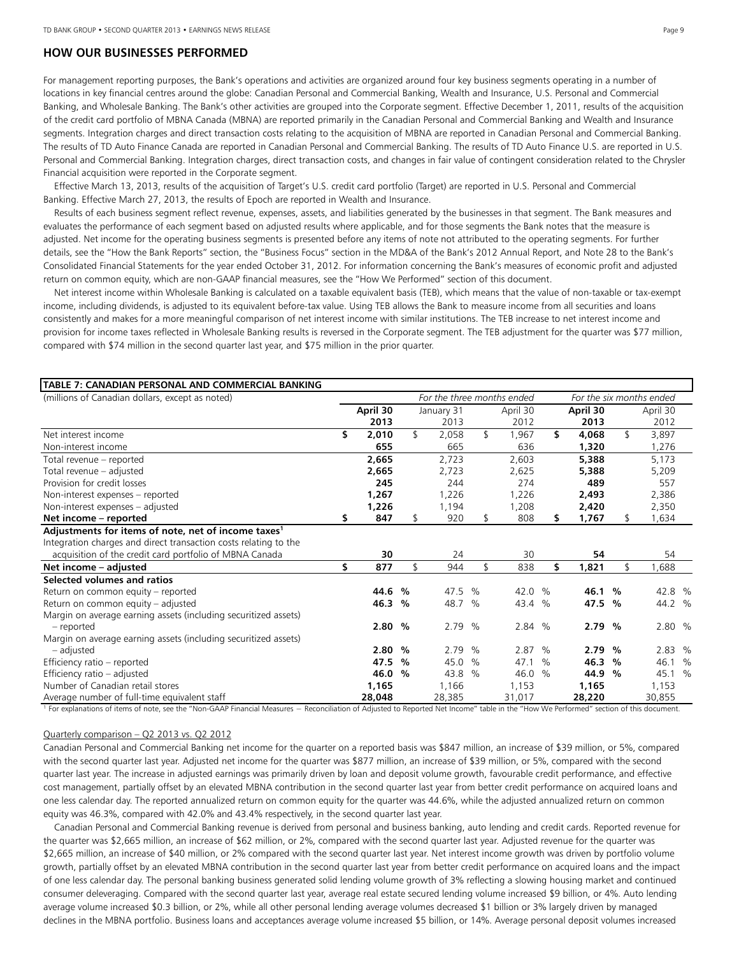# **HOW OUR BUSINESSES PERFORMED**

For management reporting purposes, the Bank's operations and activities are organized around four key business segments operating in a number of locations in key financial centres around the globe: Canadian Personal and Commercial Banking, Wealth and Insurance, U.S. Personal and Commercial Banking, and Wholesale Banking. The Bank's other activities are grouped into the Corporate segment. Effective December 1, 2011, results of the acquisition of the credit card portfolio of MBNA Canada (MBNA) are reported primarily in the Canadian Personal and Commercial Banking and Wealth and Insurance segments. Integration charges and direct transaction costs relating to the acquisition of MBNA are reported in Canadian Personal and Commercial Banking. The results of TD Auto Finance Canada are reported in Canadian Personal and Commercial Banking. The results of TD Auto Finance U.S. are reported in U.S. Personal and Commercial Banking. Integration charges, direct transaction costs, and changes in fair value of contingent consideration related to the Chrysler Financial acquisition were reported in the Corporate segment.

 Effective March 13, 2013, results of the acquisition of Target's U.S. credit card portfolio (Target) are reported in U.S. Personal and Commercial Banking. Effective March 27, 2013, the results of Epoch are reported in Wealth and Insurance.

 Results of each business segment reflect revenue, expenses, assets, and liabilities generated by the businesses in that segment. The Bank measures and evaluates the performance of each segment based on adjusted results where applicable, and for those segments the Bank notes that the measure is adjusted. Net income for the operating business segments is presented before any items of note not attributed to the operating segments. For further details, see the "How the Bank Reports" section, the "Business Focus" section in the MD&A of the Bank's 2012 Annual Report, and Note 28 to the Bank's Consolidated Financial Statements for the year ended October 31, 2012. For information concerning the Bank's measures of economic profit and adjusted return on common equity, which are non-GAAP financial measures, see the "How We Performed" section of this document.

 Net interest income within Wholesale Banking is calculated on a taxable equivalent basis (TEB), which means that the value of non-taxable or tax-exempt income, including dividends, is adjusted to its equivalent before-tax value. Using TEB allows the Bank to measure income from all securities and loans consistently and makes for a more meaningful comparison of net interest income with similar institutions. The TEB increase to net interest income and provision for income taxes reflected in Wholesale Banking results is reversed in the Corporate segment. The TEB adjustment for the quarter was \$77 million, compared with \$74 million in the second quarter last year, and \$75 million in the prior quarter.

| TABLE 7: CANADIAN PERSONAL AND COMMERCIAL BANKING                             |             |      |                            |      |          |      |          |      |                          |  |
|-------------------------------------------------------------------------------|-------------|------|----------------------------|------|----------|------|----------|------|--------------------------|--|
| (millions of Canadian dollars, except as noted)                               |             |      | For the three months ended |      |          |      |          |      | For the six months ended |  |
|                                                                               | April 30    |      | January 31                 |      | April 30 |      | April 30 |      | April 30                 |  |
|                                                                               | 2013        |      | 2013                       |      | 2012     |      | 2013     |      | 2012                     |  |
| Net interest income                                                           | \$<br>2,010 | \$   | 2,058                      | \$   | 1,967    | \$.  | 4,068    | \$   | 3,897                    |  |
| Non-interest income                                                           | 655         |      | 665                        |      | 636      |      | 1,320    |      | 1,276                    |  |
| Total revenue - reported                                                      | 2,665       |      | 2,723                      |      | 2,603    |      | 5,388    |      | 5,173                    |  |
| Total revenue - adjusted                                                      | 2,665       |      | 2,723                      |      | 2,625    |      | 5,388    |      | 5,209                    |  |
| Provision for credit losses                                                   | 245         |      | 244                        |      | 274      |      | 489      |      | 557                      |  |
| Non-interest expenses - reported                                              | 1,267       |      | 1,226                      |      | 1,226    |      | 2,493    |      | 2,386                    |  |
| Non-interest expenses - adjusted                                              | 1,226       |      | 1,194                      |      | 1,208    |      | 2,420    |      | 2,350                    |  |
| Net income - reported                                                         | \$<br>847   | Ŧ.   | 920                        |      | 808      | S    | 1,767    | S.   | 1,634                    |  |
| Adjustments for items of note, net of income taxes <sup>1</sup>               |             |      |                            |      |          |      |          |      |                          |  |
| Integration charges and direct transaction costs relating to the              |             |      |                            |      |          |      |          |      |                          |  |
| acquisition of the credit card portfolio of MBNA Canada                       | 30          |      | 24                         |      | 30       |      | 54       |      | 54                       |  |
| Net income - adjusted                                                         | \$<br>877   |      | 944                        | \$   | 838      | \$   | 1,821    | \$   | 886,                     |  |
| Selected volumes and ratios                                                   |             |      |                            |      |          |      |          |      |                          |  |
| Return on common equity - reported                                            | 44.6        | $\%$ | 47.5                       | $\%$ | 42.0 %   |      | 46.1 %   |      | 42.8 %                   |  |
| Return on common equity - adjusted                                            | 46.3        | $\%$ | 48.7 %                     |      | 43.4 %   |      | 47.5 %   |      | 44.2 %                   |  |
| Margin on average earning assets (including securitized assets)<br>- reported | 2.80%       |      | 2.79%                      |      | 2.84 %   |      | 2.79 %   |      | 2.80 %                   |  |
| Margin on average earning assets (including securitized assets)               |             |      |                            |      |          |      |          |      |                          |  |
| - adjusted                                                                    | 2.80        | $\%$ | 2.79                       | $\%$ | 2.87     | $\%$ | 2.79     | $\%$ | 2.83 %                   |  |
| Efficiency ratio - reported                                                   | 47.5        | $\%$ | 45.0                       | $\%$ | 47.1     | $\%$ | 46.3     | $\%$ | 46.1 %                   |  |
| Efficiency ratio - adjusted                                                   | 46.0        | $\%$ | 43.8                       | $\%$ | 46.0     | $\%$ | 44.9     | $\%$ | 45.1 %                   |  |
| Number of Canadian retail stores                                              | 1,165       |      | 1,166                      |      | 1,153    |      | 1,165    |      | 1,153                    |  |
| Average number of full-time equivalent staff                                  | 28.048      |      | 28.385                     |      | 31.017   |      | 28.220   |      | 30.855                   |  |

<sup>1</sup> For explanations of items of note, see the "Non-GAAP Financial Measures - Reconciliation of Adjusted to Reported Net Income" table in the "How We Performed" section of this document.

## Quarterly comparison – Q2 2013 vs. Q2 2012

Canadian Personal and Commercial Banking net income for the quarter on a reported basis was \$847 million, an increase of \$39 million, or 5%, compared with the second quarter last year. Adjusted net income for the quarter was \$877 million, an increase of \$39 million, or 5%, compared with the second quarter last year. The increase in adjusted earnings was primarily driven by loan and deposit volume growth, favourable credit performance, and effective cost management, partially offset by an elevated MBNA contribution in the second quarter last year from better credit performance on acquired loans and one less calendar day. The reported annualized return on common equity for the quarter was 44.6%, while the adjusted annualized return on common equity was 46.3%, compared with 42.0% and 43.4% respectively, in the second quarter last year.

 Canadian Personal and Commercial Banking revenue is derived from personal and business banking, auto lending and credit cards. Reported revenue for the quarter was \$2,665 million, an increase of \$62 million, or 2%, compared with the second quarter last year. Adjusted revenue for the quarter was \$2,665 million, an increase of \$40 million, or 2% compared with the second quarter last year. Net interest income growth was driven by portfolio volume growth, partially offset by an elevated MBNA contribution in the second quarter last year from better credit performance on acquired loans and the impact of one less calendar day. The personal banking business generated solid lending volume growth of 3% reflecting a slowing housing market and continued consumer deleveraging. Compared with the second quarter last year, average real estate secured lending volume increased \$9 billion, or 4%. Auto lending average volume increased \$0.3 billion, or 2%, while all other personal lending average volumes decreased \$1 billion or 3% largely driven by managed declines in the MBNA portfolio. Business loans and acceptances average volume increased \$5 billion, or 14%. Average personal deposit volumes increased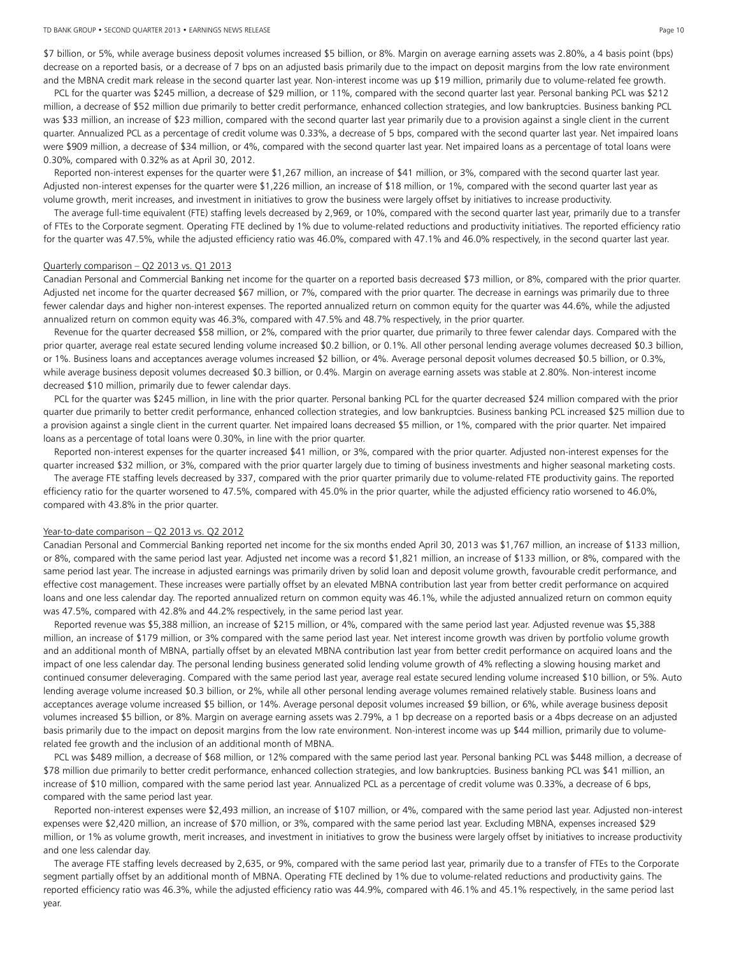\$7 billion, or 5%, while average business deposit volumes increased \$5 billion, or 8%. Margin on average earning assets was 2.80%, a 4 basis point (bps) decrease on a reported basis, or a decrease of 7 bps on an adjusted basis primarily due to the impact on deposit margins from the low rate environment and the MBNA credit mark release in the second quarter last year. Non-interest income was up \$19 million, primarily due to volume-related fee growth.

 PCL for the quarter was \$245 million, a decrease of \$29 million, or 11%, compared with the second quarter last year. Personal banking PCL was \$212 million, a decrease of \$52 million due primarily to better credit performance, enhanced collection strategies, and low bankruptcies. Business banking PCL was \$33 million, an increase of \$23 million, compared with the second quarter last year primarily due to a provision against a single client in the current quarter. Annualized PCL as a percentage of credit volume was 0.33%, a decrease of 5 bps, compared with the second quarter last year. Net impaired loans were \$909 million, a decrease of \$34 million, or 4%, compared with the second quarter last year. Net impaired loans as a percentage of total loans were 0.30%, compared with 0.32% as at April 30, 2012.

 Reported non-interest expenses for the quarter were \$1,267 million, an increase of \$41 million, or 3%, compared with the second quarter last year. Adjusted non-interest expenses for the quarter were \$1,226 million, an increase of \$18 million, or 1%, compared with the second quarter last year as volume growth, merit increases, and investment in initiatives to grow the business were largely offset by initiatives to increase productivity.

 The average full-time equivalent (FTE) staffing levels decreased by 2,969, or 10%, compared with the second quarter last year, primarily due to a transfer of FTEs to the Corporate segment. Operating FTE declined by 1% due to volume-related reductions and productivity initiatives. The reported efficiency ratio for the quarter was 47.5%, while the adjusted efficiency ratio was 46.0%, compared with 47.1% and 46.0% respectively, in the second quarter last year.

## Quarterly comparison - Q2 2013 vs. Q1 2013

Canadian Personal and Commercial Banking net income for the quarter on a reported basis decreased \$73 million, or 8%, compared with the prior quarter. Adjusted net income for the quarter decreased \$67 million, or 7%, compared with the prior quarter. The decrease in earnings was primarily due to three fewer calendar days and higher non-interest expenses. The reported annualized return on common equity for the quarter was 44.6%, while the adjusted annualized return on common equity was 46.3%, compared with 47.5% and 48.7% respectively, in the prior quarter.

 Revenue for the quarter decreased \$58 million, or 2%, compared with the prior quarter, due primarily to three fewer calendar days. Compared with the prior quarter, average real estate secured lending volume increased \$0.2 billion, or 0.1%. All other personal lending average volumes decreased \$0.3 billion, or 1%. Business loans and acceptances average volumes increased \$2 billion, or 4%. Average personal deposit volumes decreased \$0.5 billion, or 0.3%, while average business deposit volumes decreased \$0.3 billion, or 0.4%. Margin on average earning assets was stable at 2.80%. Non-interest income decreased \$10 million, primarily due to fewer calendar days.

PCL for the quarter was \$245 million, in line with the prior quarter. Personal banking PCL for the quarter decreased \$24 million compared with the prior quarter due primarily to better credit performance, enhanced collection strategies, and low bankruptcies. Business banking PCL increased \$25 million due to a provision against a single client in the current quarter. Net impaired loans decreased \$5 million, or 1%, compared with the prior quarter. Net impaired loans as a percentage of total loans were 0.30%, in line with the prior quarter.

 Reported non-interest expenses for the quarter increased \$41 million, or 3%, compared with the prior quarter. Adjusted non-interest expenses for the quarter increased \$32 million, or 3%, compared with the prior quarter largely due to timing of business investments and higher seasonal marketing costs.

 The average FTE staffing levels decreased by 337, compared with the prior quarter primarily due to volume-related FTE productivity gains. The reported efficiency ratio for the quarter worsened to 47.5%, compared with 45.0% in the prior quarter, while the adjusted efficiency ratio worsened to 46.0%, compared with 43.8% in the prior quarter.

## Year-to-date comparison - Q2 2013 vs. Q2 2012

Canadian Personal and Commercial Banking reported net income for the six months ended April 30, 2013 was \$1,767 million, an increase of \$133 million, or 8%, compared with the same period last year. Adjusted net income was a record \$1,821 million, an increase of \$133 million, or 8%, compared with the same period last year. The increase in adjusted earnings was primarily driven by solid loan and deposit volume growth, favourable credit performance, and effective cost management. These increases were partially offset by an elevated MBNA contribution last year from better credit performance on acquired loans and one less calendar day. The reported annualized return on common equity was 46.1%, while the adjusted annualized return on common equity was 47.5%, compared with 42.8% and 44.2% respectively, in the same period last year.

 Reported revenue was \$5,388 million, an increase of \$215 million, or 4%, compared with the same period last year. Adjusted revenue was \$5,388 million, an increase of \$179 million, or 3% compared with the same period last year. Net interest income growth was driven by portfolio volume growth and an additional month of MBNA, partially offset by an elevated MBNA contribution last year from better credit performance on acquired loans and the impact of one less calendar day. The personal lending business generated solid lending volume growth of 4% reflecting a slowing housing market and continued consumer deleveraging. Compared with the same period last year, average real estate secured lending volume increased \$10 billion, or 5%. Auto lending average volume increased \$0.3 billion, or 2%, while all other personal lending average volumes remained relatively stable. Business loans and acceptances average volume increased \$5 billion, or 14%. Average personal deposit volumes increased \$9 billion, or 6%, while average business deposit volumes increased \$5 billion, or 8%. Margin on average earning assets was 2.79%, a 1 bp decrease on a reported basis or a 4bps decrease on an adjusted basis primarily due to the impact on deposit margins from the low rate environment. Non-interest income was up \$44 million, primarily due to volumerelated fee growth and the inclusion of an additional month of MBNA.

 PCL was \$489 million, a decrease of \$68 million, or 12% compared with the same period last year. Personal banking PCL was \$448 million, a decrease of \$78 million due primarily to better credit performance, enhanced collection strategies, and low bankruptcies. Business banking PCL was \$41 million, an increase of \$10 million, compared with the same period last year. Annualized PCL as a percentage of credit volume was 0.33%, a decrease of 6 bps, compared with the same period last year.

 Reported non-interest expenses were \$2,493 million, an increase of \$107 million, or 4%, compared with the same period last year. Adjusted non-interest expenses were \$2,420 million, an increase of \$70 million, or 3%, compared with the same period last year. Excluding MBNA, expenses increased \$29 million, or 1% as volume growth, merit increases, and investment in initiatives to grow the business were largely offset by initiatives to increase productivity and one less calendar day.

 The average FTE staffing levels decreased by 2,635, or 9%, compared with the same period last year, primarily due to a transfer of FTEs to the Corporate segment partially offset by an additional month of MBNA. Operating FTE declined by 1% due to volume-related reductions and productivity gains. The reported efficiency ratio was 46.3%, while the adjusted efficiency ratio was 44.9%, compared with 46.1% and 45.1% respectively, in the same period last year.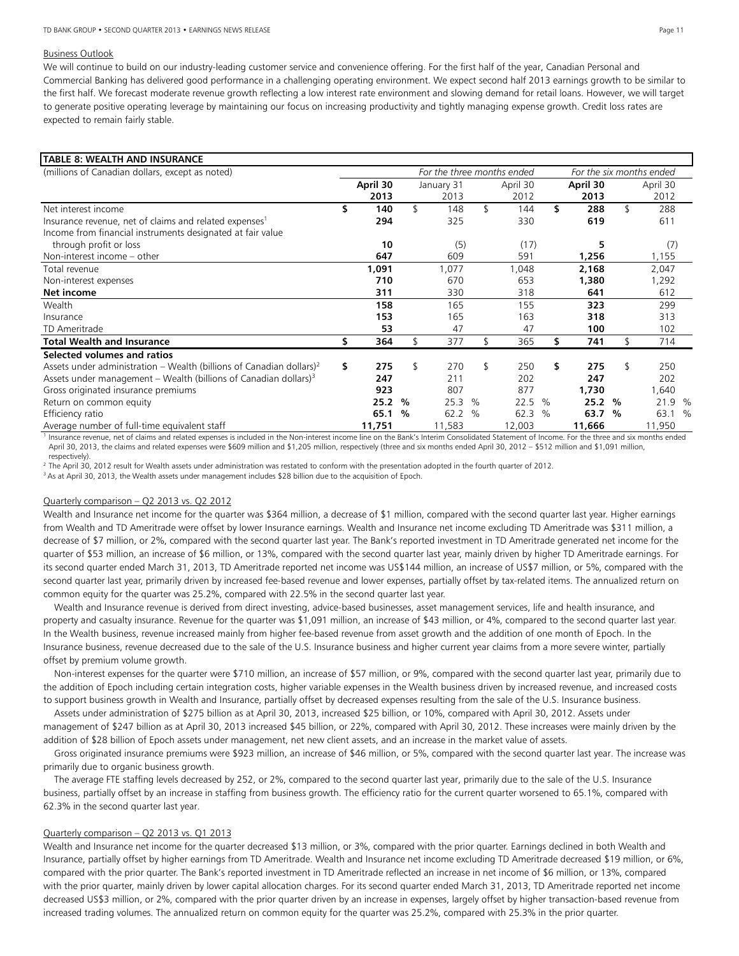#### Business Outlook

We will continue to build on our industry-leading customer service and convenience offering. For the first half of the year, Canadian Personal and Commercial Banking has delivered good performance in a challenging operating environment. We expect second half 2013 earnings growth to be similar to the first half. We forecast moderate revenue growth reflecting a low interest rate environment and slowing demand for retail loans. However, we will target to generate positive operating leverage by maintaining our focus on increasing productivity and tightly managing expense growth. Credit loss rates are expected to remain fairly stable.

| <b>TABLE 8: WEALTH AND INSURANCE</b>                                             |           |      |                            |      |          |      |          |                          |  |
|----------------------------------------------------------------------------------|-----------|------|----------------------------|------|----------|------|----------|--------------------------|--|
| (millions of Canadian dollars, except as noted)                                  |           |      | For the three months ended |      |          |      |          | For the six months ended |  |
|                                                                                  | April 30  |      | January 31                 |      | April 30 |      | April 30 | April 30                 |  |
|                                                                                  | 2013      |      | 2013                       |      | 2012     |      | 2013     | 2012                     |  |
| Net interest income                                                              | 140       | \$   | 148                        | \$   | 144      | \$   | 288      | \$<br>288                |  |
| Insurance revenue, net of claims and related expenses <sup>1</sup>               | 294       |      | 325                        |      | 330      |      | 619      | 611                      |  |
| Income from financial instruments designated at fair value                       |           |      |                            |      |          |      |          |                          |  |
| through profit or loss                                                           | 10        |      | (5)                        |      | (17)     |      | 5        | (7)                      |  |
| Non-interest income - other                                                      | 647       |      | 609                        |      | 591      |      | 1,256    | 1,155                    |  |
| Total revenue                                                                    | 1,091     |      | 1,077                      |      | 1,048    |      | 2,168    | 2,047                    |  |
| Non-interest expenses                                                            | 710       |      | 670                        |      | 653      |      | 1,380    | 1,292                    |  |
| Net income                                                                       | 311       |      | 330                        |      | 318      |      | 641      | 612                      |  |
| Wealth                                                                           | 158       |      | 165                        |      | 155      |      | 323      | 299                      |  |
| Insurance                                                                        | 153       |      | 165                        |      | 163      |      | 318      | 313                      |  |
| TD Ameritrade                                                                    | 53        |      | 47                         |      | 47       |      | 100      | 102                      |  |
| <b>Total Wealth and Insurance</b>                                                | 364       |      | 377                        |      | 365      | \$   | 741      | 714                      |  |
| Selected volumes and ratios                                                      |           |      |                            |      |          |      |          |                          |  |
| Assets under administration – Wealth (billions of Canadian dollars) <sup>2</sup> | \$<br>275 | \$   | 270                        | \$   | 250      | \$   | 275      | \$<br>250                |  |
| Assets under management – Wealth (billions of Canadian dollars) <sup>3</sup>     | 247       |      | 211                        |      | 202      |      | 247      | 202                      |  |
| Gross originated insurance premiums                                              | 923       |      | 807                        |      | 877      |      | 1,730    | 1,640                    |  |
| Return on common equity                                                          | 25.2      | $\%$ | 25.3                       | $\%$ | 22.5     | $\%$ | 25.2 %   | 21.9 %                   |  |
| Efficiency ratio                                                                 | 65.1      | %    | 62.2 %                     |      | 62.3 %   |      | 63.7 %   | 63.1 %                   |  |
| Average number of full-time equivalent staff                                     | 11,751    |      | 11,583                     |      | 12,003   |      | 11,666   | 11,950                   |  |

I Insurance revenue, net of claims and related expenses is included in the Non-interest income line on the Bank's Interim Consolidated Statement of Income. For the three and six months ended April 30, 2013, the claims and related expenses were \$609 million and \$1,205 million, respectively (three and six months ended April 30, 2012 – \$512 million and \$1,091 million,

respectively).<br><sup>2</sup> The April 30, 2012 result for Wealth assets under administration was restated to conform with the presentation adopted in the fourth quarter of 2012.

 $^3$  As at April 30, 2013, the Wealth assets under management includes \$28 billion due to the acquisition of Epoch.

## Quarterly comparison – Q2 2013 vs. Q2 2012

Wealth and Insurance net income for the quarter was \$364 million, a decrease of \$1 million, compared with the second quarter last year. Higher earnings from Wealth and TD Ameritrade were offset by lower Insurance earnings. Wealth and Insurance net income excluding TD Ameritrade was \$311 million, a decrease of \$7 million, or 2%, compared with the second quarter last year. The Bank's reported investment in TD Ameritrade generated net income for the quarter of \$53 million, an increase of \$6 million, or 13%, compared with the second quarter last year, mainly driven by higher TD Ameritrade earnings. For its second quarter ended March 31, 2013, TD Ameritrade reported net income was US\$144 million, an increase of US\$7 million, or 5%, compared with the second quarter last year, primarily driven by increased fee-based revenue and lower expenses, partially offset by tax-related items. The annualized return on common equity for the quarter was 25.2%, compared with 22.5% in the second quarter last year.

 Wealth and Insurance revenue is derived from direct investing, advice-based businesses, asset management services, life and health insurance, and property and casualty insurance. Revenue for the quarter was \$1,091 million, an increase of \$43 million, or 4%, compared to the second quarter last year. In the Wealth business, revenue increased mainly from higher fee-based revenue from asset growth and the addition of one month of Epoch. In the Insurance business, revenue decreased due to the sale of the U.S. Insurance business and higher current year claims from a more severe winter, partially offset by premium volume growth.

 Non-interest expenses for the quarter were \$710 million, an increase of \$57 million, or 9%, compared with the second quarter last year, primarily due to the addition of Epoch including certain integration costs, higher variable expenses in the Wealth business driven by increased revenue, and increased costs to support business growth in Wealth and Insurance, partially offset by decreased expenses resulting from the sale of the U.S. Insurance business.

 Assets under administration of \$275 billion as at April 30, 2013, increased \$25 billion, or 10%, compared with April 30, 2012. Assets under management of \$247 billion as at April 30, 2013 increased \$45 billion, or 22%, compared with April 30, 2012. These increases were mainly driven by the addition of \$28 billion of Epoch assets under management, net new client assets, and an increase in the market value of assets.

 Gross originated insurance premiums were \$923 million, an increase of \$46 million, or 5%, compared with the second quarter last year. The increase was primarily due to organic business growth.

 The average FTE staffing levels decreased by 252, or 2%, compared to the second quarter last year, primarily due to the sale of the U.S. Insurance business, partially offset by an increase in staffing from business growth. The efficiency ratio for the current quarter worsened to 65.1%, compared with 62.3% in the second quarter last year.

#### Quarterly comparison – Q2 2013 vs. Q1 2013

Wealth and Insurance net income for the quarter decreased \$13 million, or 3%, compared with the prior quarter. Earnings declined in both Wealth and Insurance, partially offset by higher earnings from TD Ameritrade. Wealth and Insurance net income excluding TD Ameritrade decreased \$19 million, or 6%, compared with the prior quarter. The Bank's reported investment in TD Ameritrade reflected an increase in net income of \$6 million, or 13%, compared with the prior quarter, mainly driven by lower capital allocation charges. For its second quarter ended March 31, 2013, TD Ameritrade reported net income decreased US\$3 million, or 2%, compared with the prior quarter driven by an increase in expenses, largely offset by higher transaction-based revenue from increased trading volumes. The annualized return on common equity for the quarter was 25.2%, compared with 25.3% in the prior quarter.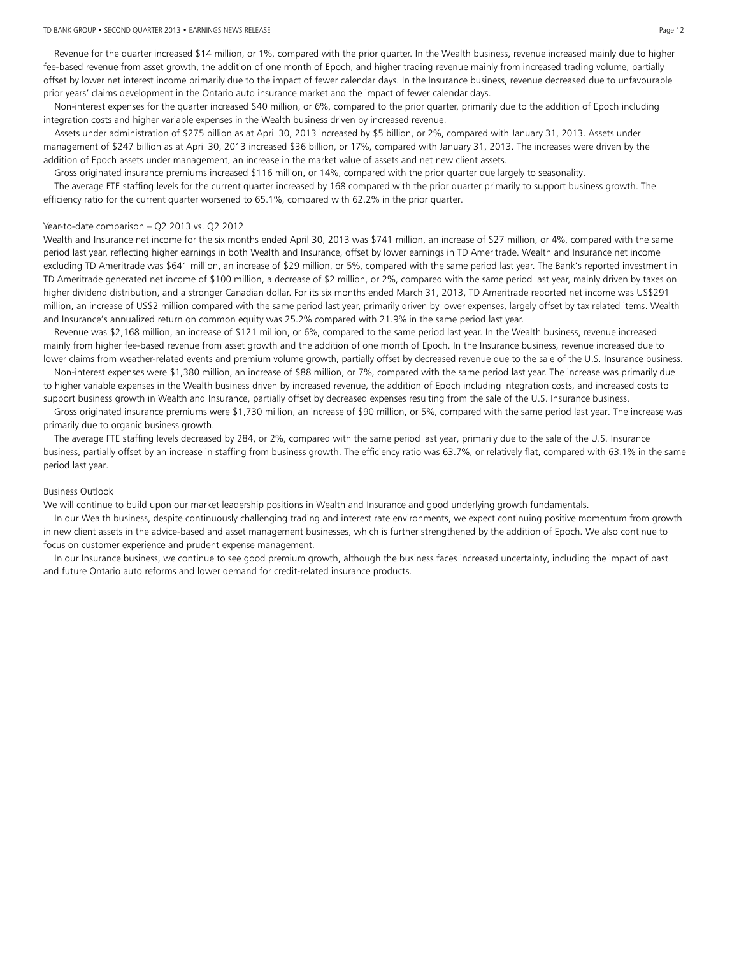Revenue for the quarter increased \$14 million, or 1%, compared with the prior quarter. In the Wealth business, revenue increased mainly due to higher fee-based revenue from asset growth, the addition of one month of Epoch, and higher trading revenue mainly from increased trading volume, partially offset by lower net interest income primarily due to the impact of fewer calendar days. In the Insurance business, revenue decreased due to unfavourable prior years' claims development in the Ontario auto insurance market and the impact of fewer calendar days.

 Non-interest expenses for the quarter increased \$40 million, or 6%, compared to the prior quarter, primarily due to the addition of Epoch including integration costs and higher variable expenses in the Wealth business driven by increased revenue.

 Assets under administration of \$275 billion as at April 30, 2013 increased by \$5 billion, or 2%, compared with January 31, 2013. Assets under management of \$247 billion as at April 30, 2013 increased \$36 billion, or 17%, compared with January 31, 2013. The increases were driven by the addition of Epoch assets under management, an increase in the market value of assets and net new client assets.

Gross originated insurance premiums increased \$116 million, or 14%, compared with the prior quarter due largely to seasonality.

 The average FTE staffing levels for the current quarter increased by 168 compared with the prior quarter primarily to support business growth. The efficiency ratio for the current quarter worsened to 65.1%, compared with 62.2% in the prior quarter.

## Year-to-date comparison - Q2 2013 vs. Q2 2012

Wealth and Insurance net income for the six months ended April 30, 2013 was \$741 million, an increase of \$27 million, or 4%, compared with the same period last year, reflecting higher earnings in both Wealth and Insurance, offset by lower earnings in TD Ameritrade. Wealth and Insurance net income excluding TD Ameritrade was \$641 million, an increase of \$29 million, or 5%, compared with the same period last year. The Bank's reported investment in TD Ameritrade generated net income of \$100 million, a decrease of \$2 million, or 2%, compared with the same period last year, mainly driven by taxes on higher dividend distribution, and a stronger Canadian dollar. For its six months ended March 31, 2013, TD Ameritrade reported net income was US\$291 million, an increase of US\$2 million compared with the same period last year, primarily driven by lower expenses, largely offset by tax related items. Wealth and Insurance's annualized return on common equity was 25.2% compared with 21.9% in the same period last year.

 Revenue was \$2,168 million, an increase of \$121 million, or 6%, compared to the same period last year. In the Wealth business, revenue increased mainly from higher fee-based revenue from asset growth and the addition of one month of Epoch. In the Insurance business, revenue increased due to lower claims from weather-related events and premium volume growth, partially offset by decreased revenue due to the sale of the U.S. Insurance business.

 Non-interest expenses were \$1,380 million, an increase of \$88 million, or 7%, compared with the same period last year. The increase was primarily due to higher variable expenses in the Wealth business driven by increased revenue, the addition of Epoch including integration costs, and increased costs to support business growth in Wealth and Insurance, partially offset by decreased expenses resulting from the sale of the U.S. Insurance business.

 Gross originated insurance premiums were \$1,730 million, an increase of \$90 million, or 5%, compared with the same period last year. The increase was primarily due to organic business growth.

 The average FTE staffing levels decreased by 284, or 2%, compared with the same period last year, primarily due to the sale of the U.S. Insurance business, partially offset by an increase in staffing from business growth. The efficiency ratio was 63.7%, or relatively flat, compared with 63.1% in the same period last year.

#### Business Outlook

We will continue to build upon our market leadership positions in Wealth and Insurance and good underlying growth fundamentals.

 In our Wealth business, despite continuously challenging trading and interest rate environments, we expect continuing positive momentum from growth in new client assets in the advice-based and asset management businesses, which is further strengthened by the addition of Epoch. We also continue to focus on customer experience and prudent expense management.

 In our Insurance business, we continue to see good premium growth, although the business faces increased uncertainty, including the impact of past and future Ontario auto reforms and lower demand for credit-related insurance products.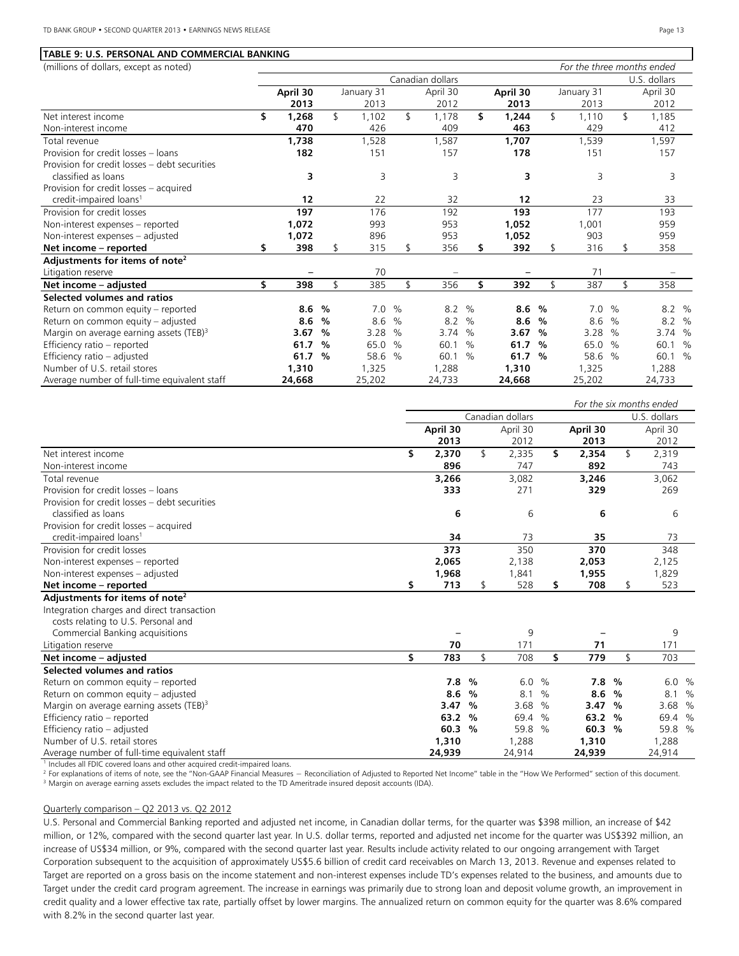## **TABLE 9: U.S. PERSONAL AND COMMERCIAL BANKING**

(millions of dollars, except as noted) *For the three months ended* 

|        |                    |        |               |        |                              |        |          |        |            | April 30 |                                                    |
|--------|--------------------|--------|---------------|--------|------------------------------|--------|----------|--------|------------|----------|----------------------------------------------------|
| 2013   |                    | 2013   |               | 2012   |                              | 2013   |          | 2013   |            | 2012     |                                                    |
| 1,268  | \$                 | 1,102  | \$            | 1,178  | \$                           | 1,244  | \$       | 1,110  | \$         | 1,185    |                                                    |
| 470    |                    | 426    |               | 409    |                              | 463    |          | 429    |            | 412      |                                                    |
| 1,738  |                    | 1,528  |               | 1,587  |                              | 1,707  |          | 1,539  |            | 1,597    |                                                    |
| 182    |                    | 151    |               | 157    |                              | 178    |          | 151    |            | 157      |                                                    |
|        |                    |        |               |        |                              |        |          |        |            |          |                                                    |
| 3      |                    | 3      |               | 3      |                              | 3      |          | 3      |            | 3        |                                                    |
|        |                    |        |               |        |                              |        |          |        |            |          |                                                    |
| 12     |                    | 22     |               | 32     |                              | 12     |          | 23     |            | 33       |                                                    |
| 197    |                    | 176    |               | 192    |                              | 193    |          | 177    |            | 193      |                                                    |
| 1,072  |                    | 993    |               | 953    |                              | 1,052  |          | 1,001  |            | 959      |                                                    |
| 1,072  |                    | 896    |               | 953    |                              | 1,052  |          | 903    |            | 959      |                                                    |
| 398    |                    | 315    | \$            | 356    | \$                           | 392    |          | 316    | S          | 358      |                                                    |
|        |                    |        |               |        |                              |        |          |        |            |          |                                                    |
|        |                    | 70     |               |        |                              |        |          | 71     |            |          |                                                    |
| 398    | $\mathbf{\hat{z}}$ | 385    | \$            | 356    | \$                           | 392    | \$       | 387    | \$.        | 358      |                                                    |
|        |                    |        |               |        |                              |        |          |        |            |          |                                                    |
| 8.6    | $\%$               | 7.0    | $\frac{0}{0}$ | 8.2    | $\%$                         | 8.6    | $\%$     | 7.0    | $\%$       | 8.2 %    |                                                    |
| 8.6    | $\%$               | 8.6    | $\%$          | 8.2    | $\%$                         | 8.6    | $\%$     | 8.6    | $\%$       | 8.2 %    |                                                    |
| 3.67   | $\%$               | 3.28   | $\%$          | 3.74   | $\%$                         | 3.67   | $\%$     | 3.28   | $\%$       | 3.74 %   |                                                    |
| 61.7   | $\frac{0}{0}$      | 65.0   | $\%$          | 60.1   | $\frac{1}{2}$                | 61.7   | $\%$     | 65.0   | $\%$       | 60.1 %   |                                                    |
| 61.7   | $\frac{0}{0}$      |        | $\%$          | 60.1   | $\%$                         | 61.7   | %        |        |            | 60.1 %   |                                                    |
| 1,310  |                    | 1,325  |               | 1,288  |                              | 1,310  |          | 1,325  |            | 1,288    |                                                    |
| 24,668 |                    | 25,202 |               | 24,733 |                              | 24,668 |          | 25,202 |            | 24,733   |                                                    |
|        | April 30           |        | January 31    | 58.6   | Canadian dollars<br>April 30 |        | April 30 |        | January 31 | 58.6 %   | ריטו נווכ נוווככ וווטוונווג כווטכט<br>U.S. dollars |

|                                                     |             |               |                  |      |          |               | For the six months ended |  |
|-----------------------------------------------------|-------------|---------------|------------------|------|----------|---------------|--------------------------|--|
|                                                     |             |               | Canadian dollars |      |          |               | U.S. dollars             |  |
|                                                     | April 30    |               | April 30         |      | April 30 |               | April 30                 |  |
|                                                     | 2013        |               | 2012             |      | 2013     |               | 2012                     |  |
| Net interest income                                 | \$<br>2,370 | \$            | 2,335            | \$   | 2,354    | \$            | 2,319                    |  |
| Non-interest income                                 | 896         |               | 747              |      | 892      |               | 743                      |  |
| Total revenue                                       | 3,266       |               | 3,082            |      | 3,246    |               | 3,062                    |  |
| Provision for credit losses - loans                 | 333         |               | 271              |      | 329      |               | 269                      |  |
| Provision for credit losses - debt securities       |             |               |                  |      |          |               |                          |  |
| classified as loans                                 | 6           |               | 6                |      | 6        |               | 6                        |  |
| Provision for credit losses - acquired              |             |               |                  |      |          |               |                          |  |
| credit-impaired loans <sup>1</sup>                  | 34          |               | 73               |      | 35       |               | 73                       |  |
| Provision for credit losses                         | 373         |               | 350              |      | 370      |               | 348                      |  |
| Non-interest expenses – reported                    | 2,065       |               | 2,138            |      | 2,053    |               | 2,125                    |  |
| Non-interest expenses - adjusted                    | 1,968       |               | 1,841            |      | 1,955    |               | 1,829                    |  |
| Net income - reported                               | \$<br>713   | \$            | 528              | \$.  | 708      | S             | 523                      |  |
| Adjustments for items of note <sup>2</sup>          |             |               |                  |      |          |               |                          |  |
| Integration charges and direct transaction          |             |               |                  |      |          |               |                          |  |
| costs relating to U.S. Personal and                 |             |               |                  |      |          |               |                          |  |
| Commercial Banking acquisitions                     |             |               | 9                |      |          |               | 9                        |  |
| Litigation reserve                                  | 70          |               | 171              |      | 71       |               | 171                      |  |
| Net income - adjusted                               | \$<br>783   | \$            | 708              | \$   | 779      | \$            | 703                      |  |
| Selected volumes and ratios                         |             |               |                  |      |          |               |                          |  |
| Return on common equity - reported                  | 7.8         | $\%$          | 6.0              | $\%$ | 7.8      | $\frac{0}{0}$ | 6.0%                     |  |
| Return on common equity - adjusted                  | 8.6         | $\%$          | 8.1              | $\%$ | 8.6      | $\%$          | 8.1 %                    |  |
| Margin on average earning assets (TEB) <sup>3</sup> | 3.47        | $\frac{0}{0}$ | 3.68             | $\%$ | 3.47     | $\%$          | 3.68 %                   |  |
| Efficiency ratio - reported                         | 63.2        | $\frac{0}{0}$ | 69.4             | $\%$ | 63.2     | $\%$          | 69.4 %                   |  |
| Efficiency ratio - adjusted                         | 60.3        | $\%$          | 59.8             | $\%$ | 60.3     | $\%$          | 59.8 %                   |  |
| Number of U.S. retail stores                        | 1,310       |               | 1,288            |      | 1,310    |               | 1,288                    |  |
| Average number of full-time equivalent staff        | 24,939      |               | 24,914           |      | 24,939   |               | 24,914                   |  |

<sup>1</sup> Includes all FDIC covered loans and other acquired credit-impaired loans.

<sup>2</sup> For explanations of items of note, see the "Non-GAAP Financial Measures – Reconciliation of Adjusted to Reported Net Income" table in the "How We Performed" section of this document.<br><sup>3</sup> Margin on average earning asset

## Quarterly comparison – Q2 2013 vs. Q2 2012

U.S. Personal and Commercial Banking reported and adjusted net income, in Canadian dollar terms, for the quarter was \$398 million, an increase of \$42 million, or 12%, compared with the second quarter last year. In U.S. dollar terms, reported and adjusted net income for the quarter was US\$392 million, an increase of US\$34 million, or 9%, compared with the second quarter last year. Results include activity related to our ongoing arrangement with Target Corporation subsequent to the acquisition of approximately US\$5.6 billion of credit card receivables on March 13, 2013. Revenue and expenses related to Target are reported on a gross basis on the income statement and non-interest expenses include TD's expenses related to the business, and amounts due to Target under the credit card program agreement. The increase in earnings was primarily due to strong loan and deposit volume growth, an improvement in credit quality and a lower effective tax rate, partially offset by lower margins. The annualized return on common equity for the quarter was 8.6% compared with 8.2% in the second quarter last year.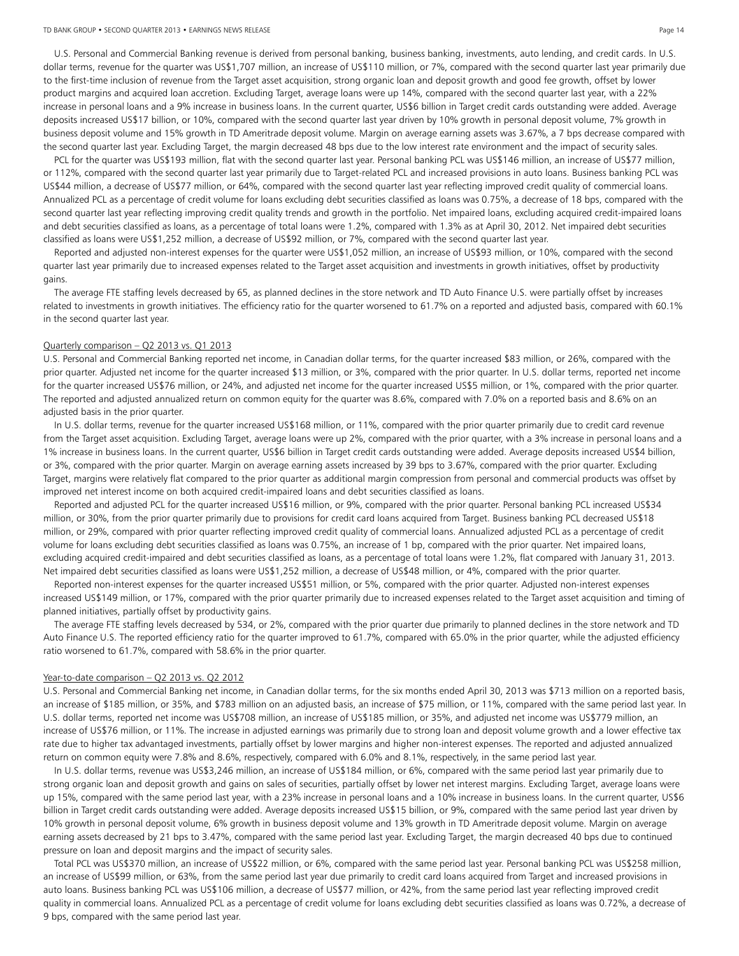U.S. Personal and Commercial Banking revenue is derived from personal banking, business banking, investments, auto lending, and credit cards. In U.S. dollar terms, revenue for the quarter was US\$1,707 million, an increase of US\$110 million, or 7%, compared with the second quarter last year primarily due to the first-time inclusion of revenue from the Target asset acquisition, strong organic loan and deposit growth and good fee growth, offset by lower product margins and acquired loan accretion. Excluding Target, average loans were up 14%, compared with the second quarter last year, with a 22% increase in personal loans and a 9% increase in business loans. In the current quarter, US\$6 billion in Target credit cards outstanding were added. Average deposits increased US\$17 billion, or 10%, compared with the second quarter last year driven by 10% growth in personal deposit volume, 7% growth in business deposit volume and 15% growth in TD Ameritrade deposit volume. Margin on average earning assets was 3.67%, a 7 bps decrease compared with the second quarter last year. Excluding Target, the margin decreased 48 bps due to the low interest rate environment and the impact of security sales.

 PCL for the quarter was US\$193 million, flat with the second quarter last year. Personal banking PCL was US\$146 million, an increase of US\$77 million, or 112%, compared with the second quarter last year primarily due to Target-related PCL and increased provisions in auto loans. Business banking PCL was US\$44 million, a decrease of US\$77 million, or 64%, compared with the second quarter last year reflecting improved credit quality of commercial loans. Annualized PCL as a percentage of credit volume for loans excluding debt securities classified as loans was 0.75%, a decrease of 18 bps, compared with the second quarter last year reflecting improving credit quality trends and growth in the portfolio. Net impaired loans, excluding acquired credit-impaired loans and debt securities classified as loans, as a percentage of total loans were 1.2%, compared with 1.3% as at April 30, 2012. Net impaired debt securities classified as loans were US\$1,252 million, a decrease of US\$92 million, or 7%, compared with the second quarter last year.

 Reported and adjusted non-interest expenses for the quarter were US\$1,052 million, an increase of US\$93 million, or 10%, compared with the second quarter last year primarily due to increased expenses related to the Target asset acquisition and investments in growth initiatives, offset by productivity gains.

 The average FTE staffing levels decreased by 65, as planned declines in the store network and TD Auto Finance U.S. were partially offset by increases related to investments in growth initiatives. The efficiency ratio for the quarter worsened to 61.7% on a reported and adjusted basis, compared with 60.1% in the second quarter last year.

## Quarterly comparison – Q2 2013 vs. Q1 2013

U.S. Personal and Commercial Banking reported net income, in Canadian dollar terms, for the quarter increased \$83 million, or 26%, compared with the prior quarter. Adjusted net income for the quarter increased \$13 million, or 3%, compared with the prior quarter. In U.S. dollar terms, reported net income for the quarter increased US\$76 million, or 24%, and adjusted net income for the quarter increased US\$5 million, or 1%, compared with the prior quarter. The reported and adjusted annualized return on common equity for the quarter was 8.6%, compared with 7.0% on a reported basis and 8.6% on an adjusted basis in the prior quarter.

 In U.S. dollar terms, revenue for the quarter increased US\$168 million, or 11%, compared with the prior quarter primarily due to credit card revenue from the Target asset acquisition. Excluding Target, average loans were up 2%, compared with the prior quarter, with a 3% increase in personal loans and a 1% increase in business loans. In the current quarter, US\$6 billion in Target credit cards outstanding were added. Average deposits increased US\$4 billion, or 3%, compared with the prior quarter. Margin on average earning assets increased by 39 bps to 3.67%, compared with the prior quarter. Excluding Target, margins were relatively flat compared to the prior quarter as additional margin compression from personal and commercial products was offset by improved net interest income on both acquired credit-impaired loans and debt securities classified as loans.

 Reported and adjusted PCL for the quarter increased US\$16 million, or 9%, compared with the prior quarter. Personal banking PCL increased US\$34 million, or 30%, from the prior quarter primarily due to provisions for credit card loans acquired from Target. Business banking PCL decreased US\$18 million, or 29%, compared with prior quarter reflecting improved credit quality of commercial loans. Annualized adjusted PCL as a percentage of credit volume for loans excluding debt securities classified as loans was 0.75%, an increase of 1 bp, compared with the prior quarter. Net impaired loans, excluding acquired credit-impaired and debt securities classified as loans, as a percentage of total loans were 1.2%, flat compared with January 31, 2013. Net impaired debt securities classified as loans were US\$1,252 million, a decrease of US\$48 million, or 4%, compared with the prior quarter.

 Reported non-interest expenses for the quarter increased US\$51 million, or 5%, compared with the prior quarter. Adjusted non-interest expenses increased US\$149 million, or 17%, compared with the prior quarter primarily due to increased expenses related to the Target asset acquisition and timing of planned initiatives, partially offset by productivity gains.

 The average FTE staffing levels decreased by 534, or 2%, compared with the prior quarter due primarily to planned declines in the store network and TD Auto Finance U.S. The reported efficiency ratio for the quarter improved to 61.7%, compared with 65.0% in the prior quarter, while the adjusted efficiency ratio worsened to 61.7%, compared with 58.6% in the prior quarter.

## Year-to-date comparison - Q2 2013 vs. Q2 2012

U.S. Personal and Commercial Banking net income, in Canadian dollar terms, for the six months ended April 30, 2013 was \$713 million on a reported basis, an increase of \$185 million, or 35%, and \$783 million on an adjusted basis, an increase of \$75 million, or 11%, compared with the same period last year. In U.S. dollar terms, reported net income was US\$708 million, an increase of US\$185 million, or 35%, and adjusted net income was US\$779 million, an increase of US\$76 million, or 11%. The increase in adjusted earnings was primarily due to strong loan and deposit volume growth and a lower effective tax rate due to higher tax advantaged investments, partially offset by lower margins and higher non-interest expenses. The reported and adjusted annualized return on common equity were 7.8% and 8.6%, respectively, compared with 6.0% and 8.1%, respectively, in the same period last year.

 In U.S. dollar terms, revenue was US\$3,246 million, an increase of US\$184 million, or 6%, compared with the same period last year primarily due to strong organic loan and deposit growth and gains on sales of securities, partially offset by lower net interest margins. Excluding Target, average loans were up 15%, compared with the same period last year, with a 23% increase in personal loans and a 10% increase in business loans. In the current quarter, US\$6 billion in Target credit cards outstanding were added. Average deposits increased US\$15 billion, or 9%, compared with the same period last year driven by 10% growth in personal deposit volume, 6% growth in business deposit volume and 13% growth in TD Ameritrade deposit volume. Margin on average earning assets decreased by 21 bps to 3.47%, compared with the same period last year. Excluding Target, the margin decreased 40 bps due to continued pressure on loan and deposit margins and the impact of security sales.

 Total PCL was US\$370 million, an increase of US\$22 million, or 6%, compared with the same period last year. Personal banking PCL was US\$258 million, an increase of US\$99 million, or 63%, from the same period last year due primarily to credit card loans acquired from Target and increased provisions in auto loans. Business banking PCL was US\$106 million, a decrease of US\$77 million, or 42%, from the same period last year reflecting improved credit quality in commercial loans. Annualized PCL as a percentage of credit volume for loans excluding debt securities classified as loans was 0.72%, a decrease of 9 bps, compared with the same period last year.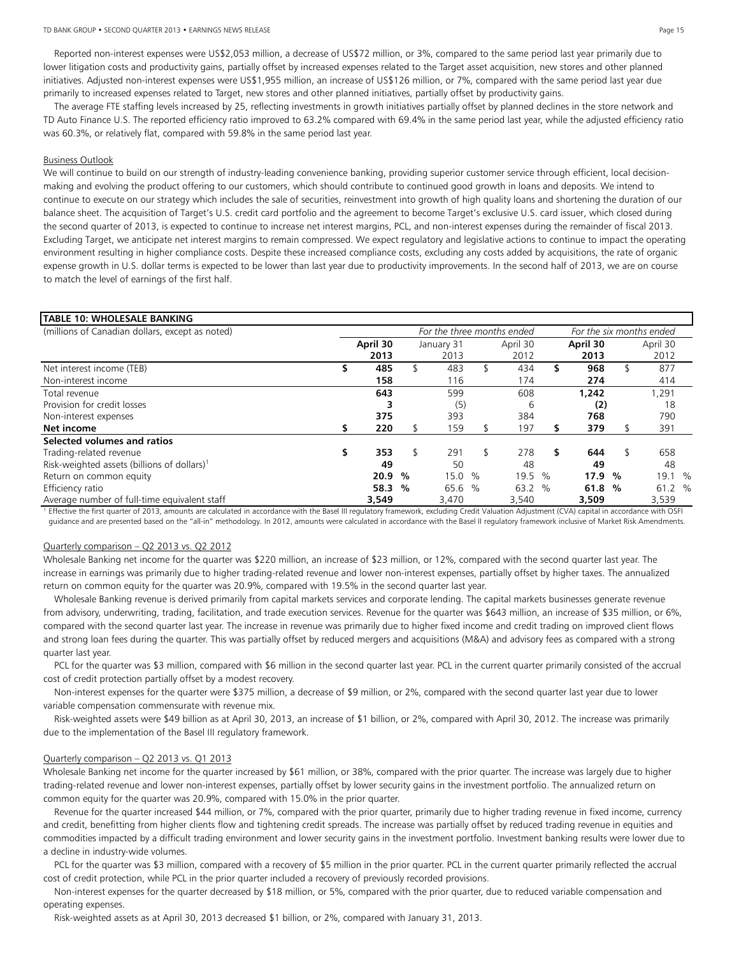Reported non-interest expenses were US\$2,053 million, a decrease of US\$72 million, or 3%, compared to the same period last year primarily due to lower litigation costs and productivity gains, partially offset by increased expenses related to the Target asset acquisition, new stores and other planned initiatives. Adjusted non-interest expenses were US\$1,955 million, an increase of US\$126 million, or 7%, compared with the same period last year due primarily to increased expenses related to Target, new stores and other planned initiatives, partially offset by productivity gains.

 The average FTE staffing levels increased by 25, reflecting investments in growth initiatives partially offset by planned declines in the store network and TD Auto Finance U.S. The reported efficiency ratio improved to 63.2% compared with 69.4% in the same period last year, while the adjusted efficiency ratio was 60.3%, or relatively flat, compared with 59.8% in the same period last year.

## Business Outlook

We will continue to build on our strength of industry-leading convenience banking, providing superior customer service through efficient, local decisionmaking and evolving the product offering to our customers, which should contribute to continued good growth in loans and deposits. We intend to continue to execute on our strategy which includes the sale of securities, reinvestment into growth of high quality loans and shortening the duration of our balance sheet. The acquisition of Target's U.S. credit card portfolio and the agreement to become Target's exclusive U.S. card issuer, which closed during the second quarter of 2013, is expected to continue to increase net interest margins, PCL, and non-interest expenses during the remainder of fiscal 2013. Excluding Target, we anticipate net interest margins to remain compressed. We expect regulatory and legislative actions to continue to impact the operating environment resulting in higher compliance costs. Despite these increased compliance costs, excluding any costs added by acquisitions, the rate of organic expense growth in U.S. dollar terms is expected to be lower than last year due to productivity improvements. In the second half of 2013, we are on course to match the level of earnings of the first half.

## **TABLE 10: WHOLESALE BANKING**

| (millions of Canadian dollars, except as noted)         | For the three months ended<br>For the six months ended |          |   |            |      |          |      |          |  |          |      |
|---------------------------------------------------------|--------------------------------------------------------|----------|---|------------|------|----------|------|----------|--|----------|------|
|                                                         |                                                        |          |   |            |      |          |      |          |  |          |      |
|                                                         |                                                        | April 30 |   | January 31 |      | April 30 |      | April 30 |  | April 30 |      |
|                                                         |                                                        | 2013     |   | 2013       |      | 2012     |      | 2013     |  | 2012     |      |
| Net interest income (TEB)                               |                                                        | 485      |   | 483        |      | 434      |      | 968      |  | 877      |      |
| Non-interest income                                     |                                                        | 158      |   | 116        |      | 174      |      | 274      |  | 414      |      |
| Total revenue                                           |                                                        | 643      |   | 599        |      | 608      |      | 1.242    |  | 1,291    |      |
| Provision for credit losses                             |                                                        | 3        |   | (5)        |      | 6        |      | (2)      |  | 18       |      |
| Non-interest expenses                                   |                                                        | 375      |   | 393        |      | 384      |      | 768      |  | 790      |      |
| Net income                                              |                                                        | 220      |   | 159        |      | 197      |      | 379      |  | 391      |      |
| Selected volumes and ratios                             |                                                        |          |   |            |      |          |      |          |  |          |      |
| Trading-related revenue                                 | S                                                      | 353      |   | 291        |      | 278      |      | 644      |  | 658      |      |
| Risk-weighted assets (billions of dollars) <sup>1</sup> |                                                        | 49       |   | 50         |      | 48       |      | 49       |  | 48       |      |
| Return on common equity                                 |                                                        | 20.9     | % | 15.0       | $\%$ | 19.5     | $\%$ | 17.9 %   |  | 19.1     | $\%$ |
| Efficiency ratio                                        |                                                        | 58.3     | % | 65.6       | $\%$ | 63.2 %   |      | 61.8%    |  | 61.2 %   |      |
| Average number of full-time equivalent staff            |                                                        | 3.549    |   | 3,470      |      | 3,540    |      | 3,509    |  | 3,539    |      |

<sup>1</sup> Effective the first quarter of 2013, amounts are calculated in accordance with the Basel III regulatory framework, excluding Credit Valuation Adjustment (CVA) capital in accordance with OSFI guidance and are presented based on the "all-in" methodology. In 2012, amounts were calculated in accordance with the Basel II regulatory framework inclusive of Market Risk Amendments.

# Quarterly comparison – Q2 2013 vs. Q2 2012

Wholesale Banking net income for the quarter was \$220 million, an increase of \$23 million, or 12%, compared with the second quarter last year. The increase in earnings was primarily due to higher trading-related revenue and lower non-interest expenses, partially offset by higher taxes. The annualized return on common equity for the quarter was 20.9%, compared with 19.5% in the second quarter last year.

 Wholesale Banking revenue is derived primarily from capital markets services and corporate lending. The capital markets businesses generate revenue from advisory, underwriting, trading, facilitation, and trade execution services. Revenue for the quarter was \$643 million, an increase of \$35 million, or 6%, compared with the second quarter last year. The increase in revenue was primarily due to higher fixed income and credit trading on improved client flows and strong loan fees during the quarter. This was partially offset by reduced mergers and acquisitions (M&A) and advisory fees as compared with a strong quarter last year.

PCL for the quarter was \$3 million, compared with \$6 million in the second quarter last year. PCL in the current quarter primarily consisted of the accrual cost of credit protection partially offset by a modest recovery.

 Non-interest expenses for the quarter were \$375 million, a decrease of \$9 million, or 2%, compared with the second quarter last year due to lower variable compensation commensurate with revenue mix.

 Risk-weighted assets were \$49 billion as at April 30, 2013, an increase of \$1 billion, or 2%, compared with April 30, 2012. The increase was primarily due to the implementation of the Basel III regulatory framework.

## Quarterly comparison – Q2 2013 vs. Q1 2013

Wholesale Banking net income for the quarter increased by \$61 million, or 38%, compared with the prior quarter. The increase was largely due to higher trading-related revenue and lower non-interest expenses, partially offset by lower security gains in the investment portfolio. The annualized return on common equity for the quarter was 20.9%, compared with 15.0% in the prior quarter.

 Revenue for the quarter increased \$44 million, or 7%, compared with the prior quarter, primarily due to higher trading revenue in fixed income, currency and credit, benefitting from higher clients flow and tightening credit spreads. The increase was partially offset by reduced trading revenue in equities and commodities impacted by a difficult trading environment and lower security gains in the investment portfolio. Investment banking results were lower due to a decline in industry-wide volumes.

PCL for the quarter was \$3 million, compared with a recovery of \$5 million in the prior quarter. PCL in the current quarter primarily reflected the accrual cost of credit protection, while PCL in the prior quarter included a recovery of previously recorded provisions.

 Non-interest expenses for the quarter decreased by \$18 million, or 5%, compared with the prior quarter, due to reduced variable compensation and operating expenses.

Risk-weighted assets as at April 30, 2013 decreased \$1 billion, or 2%, compared with January 31, 2013.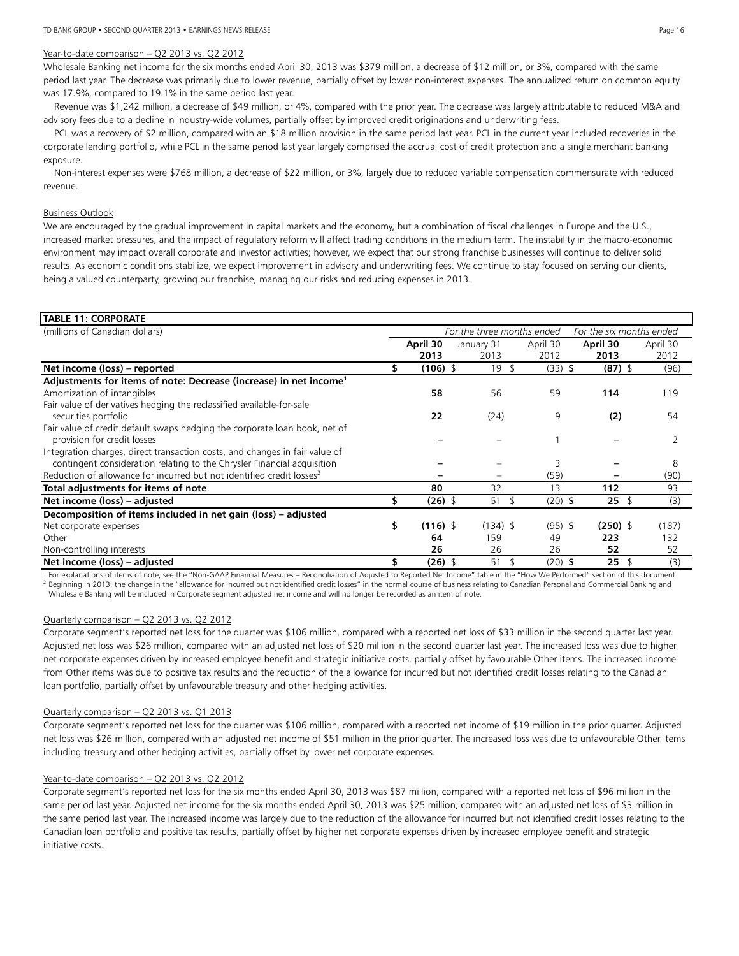## Year-to-date comparison - Q2 2013 vs. Q2 2012

Wholesale Banking net income for the six months ended April 30, 2013 was \$379 million, a decrease of \$12 million, or 3%, compared with the same period last year. The decrease was primarily due to lower revenue, partially offset by lower non-interest expenses. The annualized return on common equity was 17.9%, compared to 19.1% in the same period last year.

 Revenue was \$1,242 million, a decrease of \$49 million, or 4%, compared with the prior year. The decrease was largely attributable to reduced M&A and advisory fees due to a decline in industry-wide volumes, partially offset by improved credit originations and underwriting fees.

 PCL was a recovery of \$2 million, compared with an \$18 million provision in the same period last year. PCL in the current year included recoveries in the corporate lending portfolio, while PCL in the same period last year largely comprised the accrual cost of credit protection and a single merchant banking exposure.

 Non-interest expenses were \$768 million, a decrease of \$22 million, or 3%, largely due to reduced variable compensation commensurate with reduced revenue.

## Business Outlook

We are encouraged by the gradual improvement in capital markets and the economy, but a combination of fiscal challenges in Europe and the U.S., increased market pressures, and the impact of regulatory reform will affect trading conditions in the medium term. The instability in the macro-economic environment may impact overall corporate and investor activities; however, we expect that our strong franchise businesses will continue to deliver solid results. As economic conditions stabilize, we expect improvement in advisory and underwriting fees. We continue to stay focused on serving our clients, being a valued counterparty, growing our franchise, managing our risks and reducing expenses in 2013.

# **TABLE 11: CORPORATE**

| (millions of Canadian dollars)                                                    |                  | For the three months ended |           | For the six months ended |          |
|-----------------------------------------------------------------------------------|------------------|----------------------------|-----------|--------------------------|----------|
|                                                                                   | April 30         | January 31                 | April 30  | April 30                 | April 30 |
|                                                                                   | 2013             | 2013                       | 2012      | 2013                     | 2012     |
| Net income (loss) – reported                                                      | \$<br>$(106)$ \$ | 19 <sup>5</sup>            | $(33)$ \$ | $(87)$ \$                | (96)     |
| Adjustments for items of note: Decrease (increase) in net income <sup>1</sup>     |                  |                            |           |                          |          |
| Amortization of intangibles                                                       | 58               | 56                         | 59        | 114                      | 119      |
| Fair value of derivatives hedging the reclassified available-for-sale             |                  |                            |           |                          |          |
| securities portfolio                                                              | 22               | (24)                       | 9         | (2)                      | 54       |
| Fair value of credit default swaps hedging the corporate loan book, net of        |                  |                            |           |                          |          |
| provision for credit losses                                                       |                  |                            |           |                          |          |
| Integration charges, direct transaction costs, and changes in fair value of       |                  |                            |           |                          |          |
| contingent consideration relating to the Chrysler Financial acquisition           |                  |                            |           |                          | 8        |
| Reduction of allowance for incurred but not identified credit losses <sup>2</sup> |                  |                            | (59)      |                          | (90)     |
| Total adjustments for items of note                                               | 80               | 32                         | 13        | 112                      | 93       |
| Net income (loss) – adjusted                                                      | $(26)$ \$        | 51                         | $(20)$ \$ | $25 \frac{1}{2}$         | (3)      |
| Decomposition of items included in net gain (loss) – adjusted                     |                  |                            |           |                          |          |
| Net corporate expenses                                                            | \$<br>$(116)$ \$ | $(134)$ \$                 | $(95)$ \$ | $(250)$ \$               | (187)    |
| Other                                                                             | 64               | 159                        | 49        | 223                      | 132      |
| Non-controlling interests                                                         | 26               | 26                         | 26        | 52                       | 52       |
| Net income (loss) – adjusted                                                      | $(26)$ \$        | 51                         | $(20)$ \$ | 25                       | (3)      |

For explanations of items of note, see the "Non-GAAP Financial Measures – Reconciliation of Adjusted to Reported Net Income" table in the "How We Performed" section of this document. Beginning in 2013, the change in the "allowance for incurred but not identified credit losses" in the normal course of business relating to Canadian Personal and Commercial Banking and Wholesale Banking will be included in Corporate segment adjusted net income and will no longer be recorded as an item of note.

#### Quarterly comparison – Q2 2013 vs. Q2 2012

Corporate segment's reported net loss for the quarter was \$106 million, compared with a reported net loss of \$33 million in the second quarter last year. Adjusted net loss was \$26 million, compared with an adjusted net loss of \$20 million in the second quarter last year. The increased loss was due to higher net corporate expenses driven by increased employee benefit and strategic initiative costs, partially offset by favourable Other items. The increased income from Other items was due to positive tax results and the reduction of the allowance for incurred but not identified credit losses relating to the Canadian loan portfolio, partially offset by unfavourable treasury and other hedging activities.

#### Quarterly comparison – Q2 2013 vs. Q1 2013

Corporate segment's reported net loss for the quarter was \$106 million, compared with a reported net income of \$19 million in the prior quarter. Adjusted net loss was \$26 million, compared with an adjusted net income of \$51 million in the prior quarter. The increased loss was due to unfavourable Other items including treasury and other hedging activities, partially offset by lower net corporate expenses.

# Year-to-date comparison - Q2 2013 vs. Q2 2012

Corporate segment's reported net loss for the six months ended April 30, 2013 was \$87 million, compared with a reported net loss of \$96 million in the same period last year. Adjusted net income for the six months ended April 30, 2013 was \$25 million, compared with an adjusted net loss of \$3 million in the same period last year. The increased income was largely due to the reduction of the allowance for incurred but not identified credit losses relating to the Canadian loan portfolio and positive tax results, partially offset by higher net corporate expenses driven by increased employee benefit and strategic initiative costs.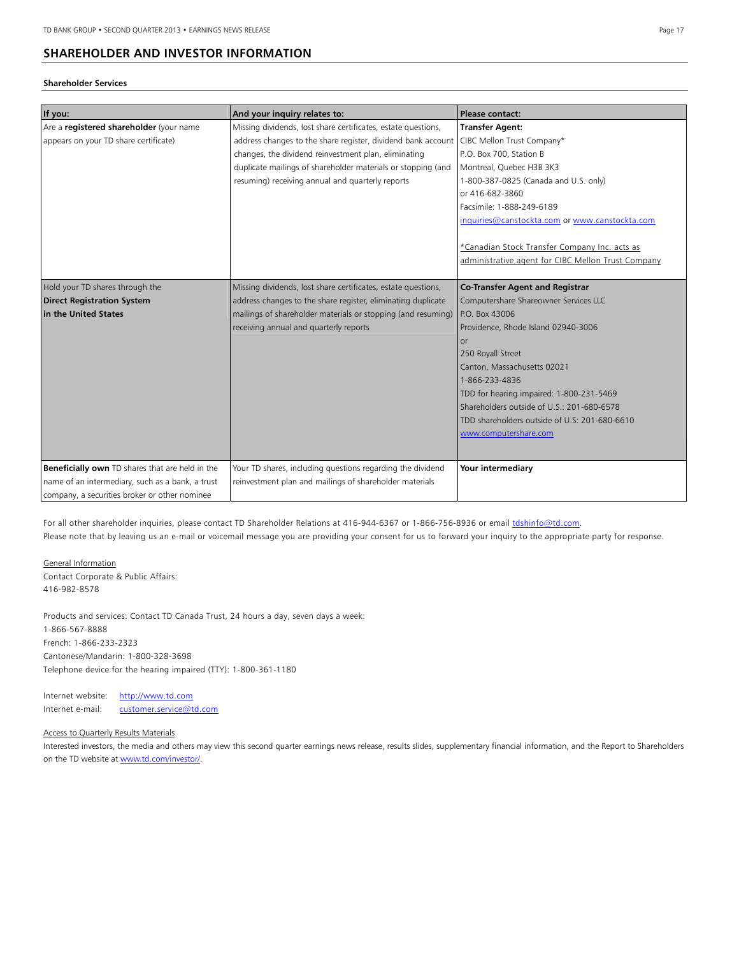# **SHAREHOLDER AND INVESTOR INFORMATION**

## **Shareholder Services**

| If you:                                                                                                                                              | And your inquiry relates to:                                                                                                                                                                                                                                                                              | Please contact:                                                                                                                                                                                                                                                                                                                                                                          |
|------------------------------------------------------------------------------------------------------------------------------------------------------|-----------------------------------------------------------------------------------------------------------------------------------------------------------------------------------------------------------------------------------------------------------------------------------------------------------|------------------------------------------------------------------------------------------------------------------------------------------------------------------------------------------------------------------------------------------------------------------------------------------------------------------------------------------------------------------------------------------|
| Are a registered shareholder (your name<br>appears on your TD share certificate)                                                                     | Missing dividends, lost share certificates, estate questions,<br>address changes to the share register, dividend bank account<br>changes, the dividend reinvestment plan, eliminating<br>duplicate mailings of shareholder materials or stopping (and<br>resuming) receiving annual and quarterly reports | <b>Transfer Agent:</b><br>CIBC Mellon Trust Company*<br>P.O. Box 700, Station B<br>Montreal, Quebec H3B 3K3<br>1-800-387-0825 (Canada and U.S. only)<br>or 416-682-3860<br>Facsimile: 1-888-249-6189<br>inquiries@canstockta.com or www.canstockta.com<br>*Canadian Stock Transfer Company Inc. acts as<br>administrative agent for CIBC Mellon Trust Company                            |
| Hold your TD shares through the<br><b>Direct Registration System</b><br>in the United States                                                         | Missing dividends, lost share certificates, estate questions,<br>address changes to the share register, eliminating duplicate<br>mailings of shareholder materials or stopping (and resuming)<br>receiving annual and quarterly reports                                                                   | <b>Co-Transfer Agent and Registrar</b><br>Computershare Shareowner Services LLC<br>P.O. Box 43006<br>Providence, Rhode Island 02940-3006<br>or<br>250 Royall Street<br>Canton, Massachusetts 02021<br>1-866-233-4836<br>TDD for hearing impaired: 1-800-231-5469<br>Shareholders outside of U.S.: 201-680-6578<br>TDD shareholders outside of U.S: 201-680-6610<br>www.computershare.com |
| Beneficially own TD shares that are held in the<br>name of an intermediary, such as a bank, a trust<br>company, a securities broker or other nominee | Your TD shares, including questions regarding the dividend<br>reinvestment plan and mailings of shareholder materials                                                                                                                                                                                     | Your intermediary                                                                                                                                                                                                                                                                                                                                                                        |

For all other shareholder inquiries, please contact TD Shareholder Relations at 416-944-6367 or 1-866-756-8936 or email [tdshinfo@td.com](mailto:tdshinfo@td.com). Please note that by leaving us an e-mail or voicemail message you are providing your consent for us to forward your inquiry to the appropriate party for response.

## General Information

Contact Corporate & Public Affairs: 416-982-8578

Products and services: Contact TD Canada Trust, 24 hours a day, seven days a week: 1-866-567-8888 French: 1-866-233-2323 Cantonese/Mandarin: 1-800-328-3698 Telephone device for the hearing impaired (TTY): 1-800-361-1180

Internet website: http://www.td.com Internet e-mail: [customer.service@td.com](mailto:customer.service@td.com)

## Access to Quarterly Results Materials

Interested investors, the media and others may view this second quarter earnings news release, results slides, supplementary financial information, and the Report to Shareholders on the TD website at [www.td.com/investor/.](http://www.td.com/investor/)